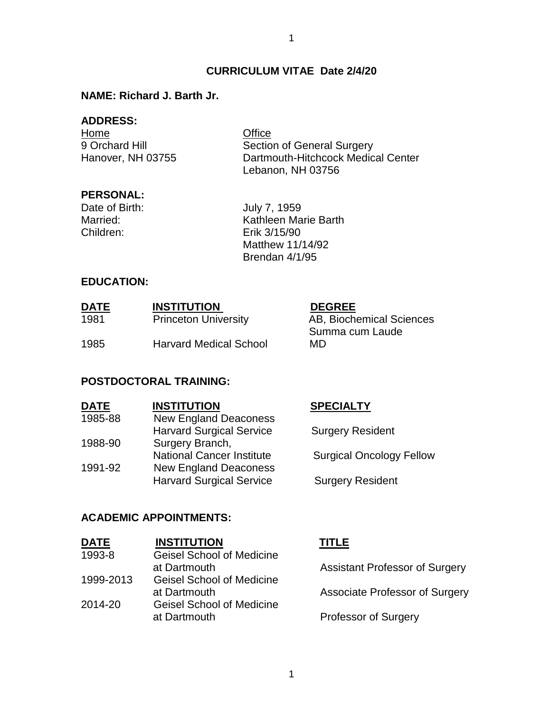# **CURRICULUM VITAE Date 2/4/20**

#### **NAME: Richard J. Barth Jr.**

#### **ADDRESS:**

Home **Office** 

9 Orchard Hill Section of General Surgery Hanover, NH 03755 Dartmouth-Hitchcock Medical Center Lebanon, NH 03756

### **PERSONAL:**

Children: Erik 3/15/90

Date of Birth: July 7, 1959 Married: Kathleen Marie Barth Matthew 11/14/92 Brendan 4/1/95

### **EDUCATION:**

| <b>DATE</b> | <b>INSTITUTION</b>            | <b>DEGREE</b>            |
|-------------|-------------------------------|--------------------------|
| 1981        | <b>Princeton University</b>   | AB, Biochemical Sciences |
| 1985        | <b>Harvard Medical School</b> | Summa cum Laude<br>MD.   |
|             |                               |                          |
|             |                               |                          |

#### **POSTDOCTORAL TRAINING:**

| <b>DATE</b> | <b>INSTITUTION</b>               | <b>SPECIALTY</b>                |
|-------------|----------------------------------|---------------------------------|
| 1985-88     | <b>New England Deaconess</b>     |                                 |
|             | <b>Harvard Surgical Service</b>  | <b>Surgery Resident</b>         |
| 1988-90     | Surgery Branch,                  |                                 |
|             | <b>National Cancer Institute</b> | <b>Surgical Oncology Fellow</b> |
| 1991-92     | <b>New England Deaconess</b>     |                                 |
|             | <b>Harvard Surgical Service</b>  | <b>Surgery Resident</b>         |
|             |                                  |                                 |

#### **ACADEMIC APPOINTMENTS:**

| <b>DATE</b> | <b>INSTITUTION</b>               | <b>TITLE</b> |
|-------------|----------------------------------|--------------|
| 1993-8      | <b>Geisel School of Medicine</b> |              |
|             | at Dartmouth                     | Assist       |
| 1999-2013   | <b>Geisel School of Medicine</b> |              |
|             | at Dartmouth                     | Assoc        |
| 2014-20     | <b>Geisel School of Medicine</b> |              |
|             | at Dartmouth                     | Profes       |
|             |                                  |              |

tant Professor of Surgery

iate Professor of Surgery

ssor of Surgery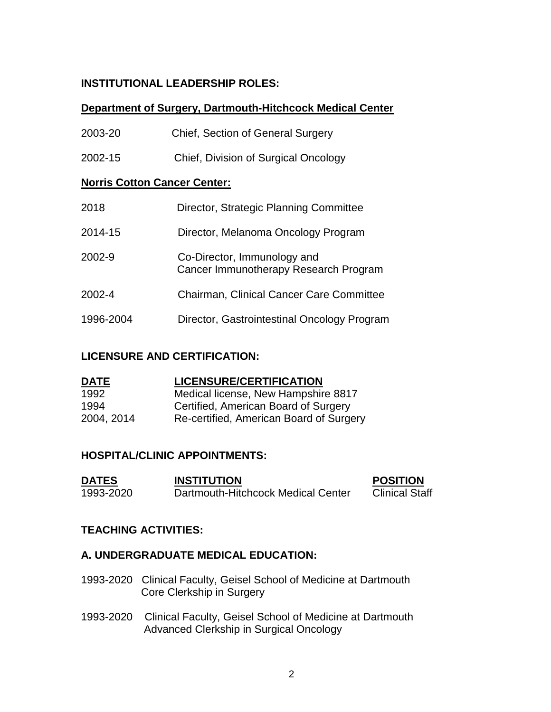# **INSTITUTIONAL LEADERSHIP ROLES:**

## **Department of Surgery, Dartmouth-Hitchcock Medical Center**

| 2003-20                             | <b>Chief, Section of General Surgery</b>                             |  |
|-------------------------------------|----------------------------------------------------------------------|--|
| 2002-15                             | Chief, Division of Surgical Oncology                                 |  |
| <b>Norris Cotton Cancer Center:</b> |                                                                      |  |
| 2018                                | Director, Strategic Planning Committee                               |  |
| 2014-15                             | Director, Melanoma Oncology Program                                  |  |
| 2002-9                              | Co-Director, Immunology and<br>Cancer Immunotherapy Research Program |  |
| 2002-4                              | <b>Chairman, Clinical Cancer Care Committee</b>                      |  |
| 1996-2004                           | Director, Gastrointestinal Oncology Program                          |  |

### **LICENSURE AND CERTIFICATION:**

| <b>DATE</b> | <b>LICENSURE/CERTIFICATION</b>          |
|-------------|-----------------------------------------|
| 1992        | Medical license, New Hampshire 8817     |
| 1994        | Certified, American Board of Surgery    |
| 2004, 2014  | Re-certified, American Board of Surgery |

# **HOSPITAL/CLINIC APPOINTMENTS:**

| <b>DATES</b> | <b>INSTITUTION</b>                 | <b>POSITION</b>       |
|--------------|------------------------------------|-----------------------|
| 1993-2020    | Dartmouth-Hitchcock Medical Center | <b>Clinical Staff</b> |

# **TEACHING ACTIVITIES:**

# **A. UNDERGRADUATE MEDICAL EDUCATION:**

- 1993-2020 Clinical Faculty, Geisel School of Medicine at Dartmouth Core Clerkship in Surgery
- 1993-2020 Clinical Faculty, Geisel School of Medicine at Dartmouth Advanced Clerkship in Surgical Oncology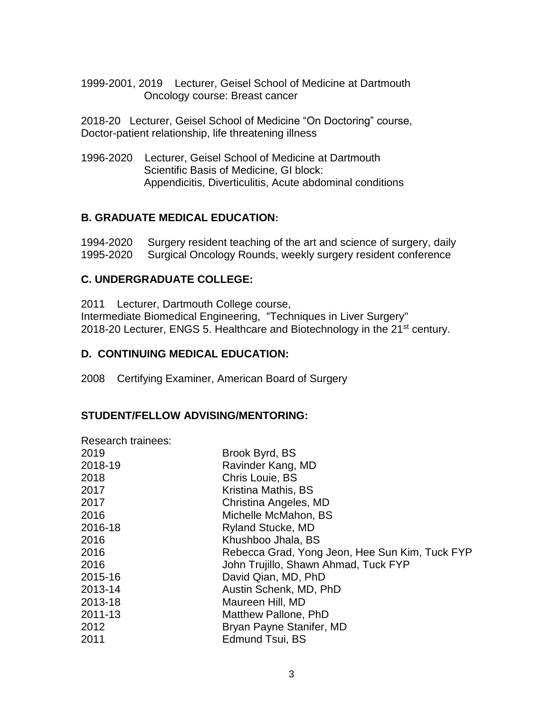1999-2001, 2019 Lecturer, Geisel School of Medicine at Dartmouth Oncology course: Breast cancer

2018-20 Lecturer, Geisel School of Medicine "On Doctoring" course, Doctor-patient relationship, life threatening illness

1996-2020 Lecturer, Geisel School of Medicine at Dartmouth Scientific Basis of Medicine, GI block: Appendicitis, Diverticulitis, Acute abdominal conditions

## **B. GRADUATE MEDICAL EDUCATION:**

1994-2020 Surgery resident teaching of the art and science of surgery, daily 1995-2020 Surgical Oncology Rounds, weekly surgery resident conference

## **C. UNDERGRADUATE COLLEGE:**

2011 Lecturer, Dartmouth College course, Intermediate Biomedical Engineering, "Techniques in Liver Surgery" 2018-20 Lecturer, ENGS 5. Healthcare and Biotechnology in the 21<sup>st</sup> century.

### **D. CONTINUING MEDICAL EDUCATION:**

2008 Certifying Examiner, American Board of Surgery

#### **STUDENT/FELLOW ADVISING/MENTORING:**

Research trainees:

| Brook Byrd, BS                                 |
|------------------------------------------------|
| Ravinder Kang, MD                              |
| Chris Louie, BS                                |
| Kristina Mathis, BS                            |
| Christina Angeles, MD                          |
| Michelle McMahon, BS                           |
| Ryland Stucke, MD                              |
| Khushboo Jhala, BS                             |
| Rebecca Grad, Yong Jeon, Hee Sun Kim, Tuck FYP |
| John Trujillo, Shawn Ahmad, Tuck FYP           |
| David Qian, MD, PhD                            |
| Austin Schenk, MD, PhD                         |
| Maureen Hill, MD                               |
| Matthew Pallone, PhD                           |
| Bryan Payne Stanifer, MD                       |
| Edmund Tsui, BS                                |
|                                                |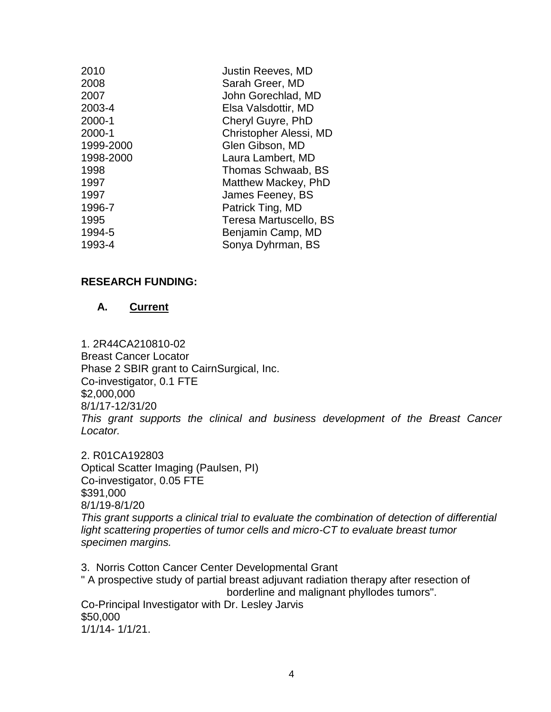| 2010<br>2008<br>2007<br>2003-4<br>2000-1<br>2000-1<br>1999-2000<br>1998-2000<br>1998<br>1997<br>1997<br>1996-7<br>1995 | Justin Reeves, MD<br>Sarah Greer, MD<br>John Gorechlad, MD<br>Elsa Valsdottir, MD<br>Cheryl Guyre, PhD<br>Christopher Alessi, MD<br>Glen Gibson, MD<br>Laura Lambert, MD<br>Thomas Schwaab, BS<br>Matthew Mackey, PhD<br>James Feeney, BS<br>Patrick Ting, MD<br>Teresa Martuscello, BS |
|------------------------------------------------------------------------------------------------------------------------|-----------------------------------------------------------------------------------------------------------------------------------------------------------------------------------------------------------------------------------------------------------------------------------------|
|                                                                                                                        |                                                                                                                                                                                                                                                                                         |
|                                                                                                                        |                                                                                                                                                                                                                                                                                         |
| 1994-5                                                                                                                 | Benjamin Camp, MD                                                                                                                                                                                                                                                                       |
| 1993-4                                                                                                                 | Sonya Dyhrman, BS                                                                                                                                                                                                                                                                       |
|                                                                                                                        |                                                                                                                                                                                                                                                                                         |

#### **RESEARCH FUNDING:**

#### **A. Current**

1. 2R44CA210810-02 Breast Cancer Locator Phase 2 SBIR grant to CairnSurgical, Inc. Co-investigator, 0.1 FTE \$2,000,000 8/1/17-12/31/20 *This grant supports the clinical and business development of the Breast Cancer Locator.*

2. R01CA192803 Optical Scatter Imaging (Paulsen, PI) Co-investigator, 0.05 FTE \$391,000 8/1/19-8/1/20 *This grant supports a clinical trial to evaluate the combination of detection of differential*  light scattering properties of tumor cells and micro-CT to evaluate breast tumor *specimen margins.*

3. Norris Cotton Cancer Center Developmental Grant " A prospective study of partial breast adjuvant radiation therapy after resection of borderline and malignant phyllodes tumors". Co-Principal Investigator with Dr. Lesley Jarvis \$50,000 1/1/14- 1/1/21.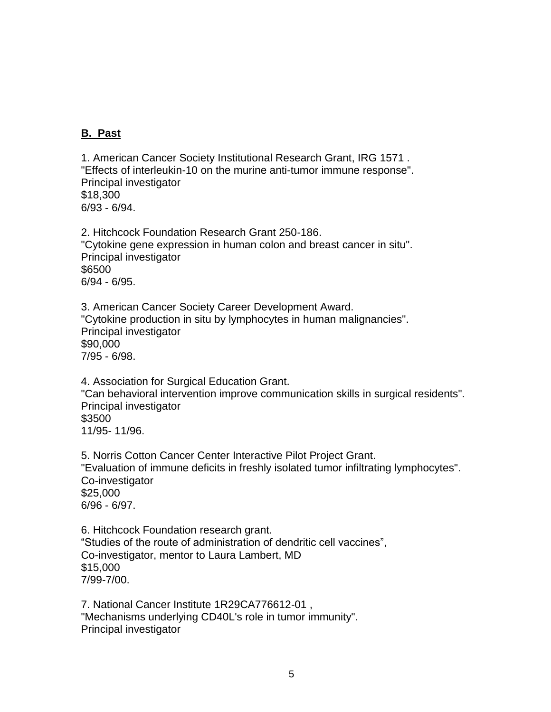## **B. Past**

1. American Cancer Society Institutional Research Grant, IRG 1571 . "Effects of interleukin-10 on the murine anti-tumor immune response". Principal investigator \$18,300 6/93 - 6/94.

2. Hitchcock Foundation Research Grant 250-186. "Cytokine gene expression in human colon and breast cancer in situ". Principal investigator \$6500 6/94 - 6/95.

3. American Cancer Society Career Development Award. "Cytokine production in situ by lymphocytes in human malignancies". Principal investigator \$90,000 7/95 - 6/98.

4. Association for Surgical Education Grant. "Can behavioral intervention improve communication skills in surgical residents". Principal investigator \$3500 11/95- 11/96.

5. Norris Cotton Cancer Center Interactive Pilot Project Grant. "Evaluation of immune deficits in freshly isolated tumor infiltrating lymphocytes". Co-investigator \$25,000 6/96 - 6/97.

6. Hitchcock Foundation research grant. "Studies of the route of administration of dendritic cell vaccines", Co-investigator, mentor to Laura Lambert, MD \$15,000 7/99-7/00.

7. National Cancer Institute 1R29CA776612-01 , "Mechanisms underlying CD40L's role in tumor immunity". Principal investigator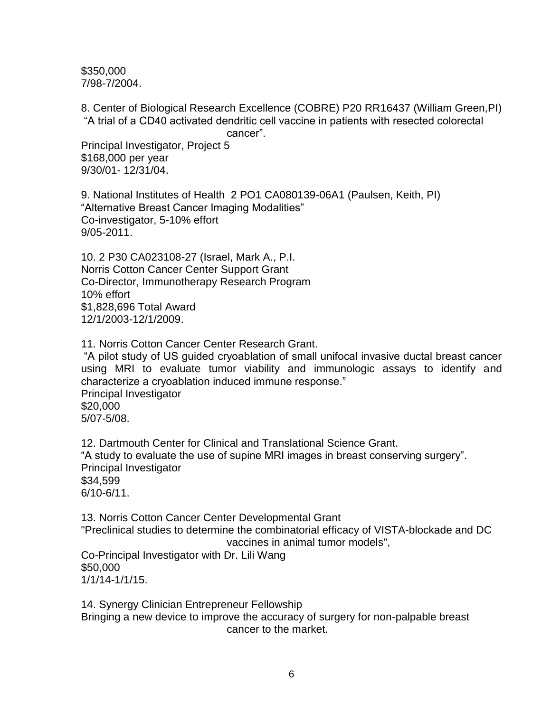\$350,000 7/98-7/2004.

8. Center of Biological Research Excellence (COBRE) P20 RR16437 (William Green,PI) "A trial of a CD40 activated dendritic cell vaccine in patients with resected colorectal

cancer".

Principal Investigator, Project 5 \$168,000 per year 9/30/01- 12/31/04.

9. National Institutes of Health 2 PO1 CA080139-06A1 (Paulsen, Keith, PI) "Alternative Breast Cancer Imaging Modalities" Co-investigator, 5-10% effort 9/05-2011.

10. 2 P30 CA023108-27 (Israel, Mark A., P.I. Norris Cotton Cancer Center Support Grant Co-Director, Immunotherapy Research Program 10% effort \$1,828,696 Total Award 12/1/2003-12/1/2009.

11. Norris Cotton Cancer Center Research Grant.

"A pilot study of US guided cryoablation of small unifocal invasive ductal breast cancer using MRI to evaluate tumor viability and immunologic assays to identify and characterize a cryoablation induced immune response." Principal Investigator \$20,000 5/07-5/08.

12. Dartmouth Center for Clinical and Translational Science Grant. "A study to evaluate the use of supine MRI images in breast conserving surgery". Principal Investigator \$34,599 6/10-6/11.

13. Norris Cotton Cancer Center Developmental Grant "Preclinical studies to determine the combinatorial efficacy of VISTA-blockade and DC vaccines in animal tumor models",

Co-Principal Investigator with Dr. Lili Wang \$50,000 1/1/14-1/1/15.

14. Synergy Clinician Entrepreneur Fellowship Bringing a new device to improve the accuracy of surgery for non-palpable breast cancer to the market.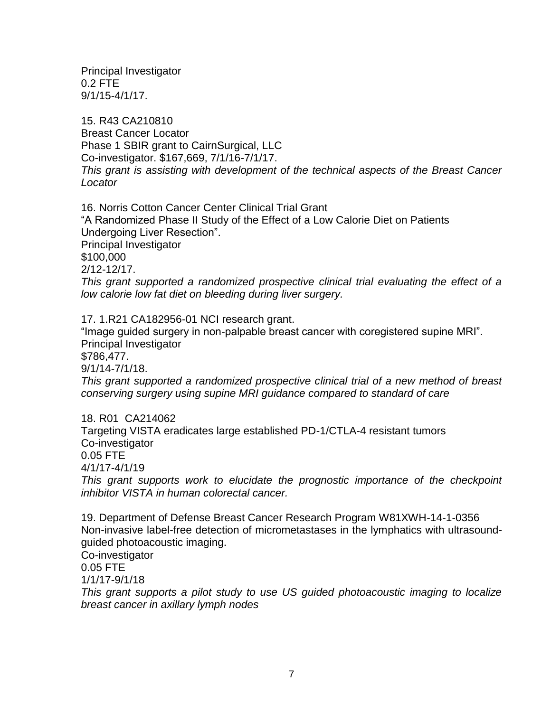Principal Investigator 0.2 FTE 9/1/15-4/1/17.

15. R43 CA210810 Breast Cancer Locator Phase 1 SBIR grant to CairnSurgical, LLC Co-investigator. \$167,669, 7/1/16-7/1/17. *This grant is assisting with development of the technical aspects of the Breast Cancer Locator*

16. Norris Cotton Cancer Center Clinical Trial Grant "A Randomized Phase II Study of the Effect of a Low Calorie Diet on Patients Undergoing Liver Resection". Principal Investigator \$100,000 2/12-12/17. *This grant supported a randomized prospective clinical trial evaluating the effect of a low calorie low fat diet on bleeding during liver surgery.* 

17. 1.R21 CA182956-01 NCI research grant. "Image guided surgery in non-palpable breast cancer with coregistered supine MRI". Principal Investigator \$786,477. 9/1/14-7/1/18. *This grant supported a randomized prospective clinical trial of a new method of breast conserving surgery using supine MRI guidance compared to standard of care*  18. R01 CA214062 Targeting VISTA eradicates large established PD-1/CTLA-4 resistant tumors

Co-investigator 0.05 FTE

4/1/17-4/1/19

*This grant supports work to elucidate the prognostic importance of the checkpoint inhibitor VISTA in human colorectal cancer.*

19. Department of Defense Breast Cancer Research Program W81XWH-14-1-0356 Non-invasive label-free detection of micrometastases in the lymphatics with ultrasoundguided photoacoustic imaging.

Co-investigator 0.05 FTE

1/1/17-9/1/18

*This grant supports a pilot study to use US guided photoacoustic imaging to localize breast cancer in axillary lymph nodes*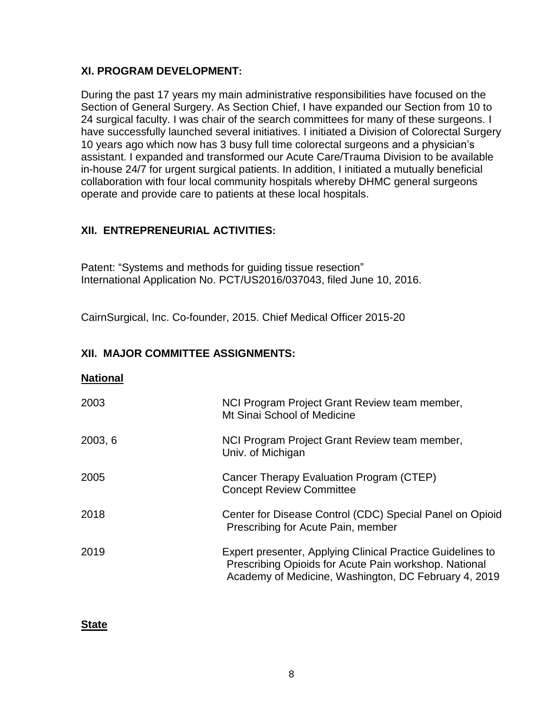### **XI. PROGRAM DEVELOPMENT:**

During the past 17 years my main administrative responsibilities have focused on the Section of General Surgery. As Section Chief, I have expanded our Section from 10 to 24 surgical faculty. I was chair of the search committees for many of these surgeons. I have successfully launched several initiatives. I initiated a Division of Colorectal Surgery 10 years ago which now has 3 busy full time colorectal surgeons and a physician's assistant. I expanded and transformed our Acute Care/Trauma Division to be available in-house 24/7 for urgent surgical patients. In addition, I initiated a mutually beneficial collaboration with four local community hospitals whereby DHMC general surgeons operate and provide care to patients at these local hospitals.

# **XII. ENTREPRENEURIAL ACTIVITIES:**

Patent: "Systems and methods for guiding tissue resection" International Application No. PCT/US2016/037043, filed June 10, 2016.

CairnSurgical, Inc. Co-founder, 2015. Chief Medical Officer 2015-20

# **XII. MAJOR COMMITTEE ASSIGNMENTS:**

#### **National**

| 2003    | NCI Program Project Grant Review team member,<br>Mt Sinai School of Medicine                                                                                                       |
|---------|------------------------------------------------------------------------------------------------------------------------------------------------------------------------------------|
| 2003, 6 | NCI Program Project Grant Review team member,<br>Univ. of Michigan                                                                                                                 |
| 2005    | Cancer Therapy Evaluation Program (CTEP)<br><b>Concept Review Committee</b>                                                                                                        |
| 2018    | Center for Disease Control (CDC) Special Panel on Opioid<br>Prescribing for Acute Pain, member                                                                                     |
| 2019    | <b>Expert presenter, Applying Clinical Practice Guidelines to</b><br>Prescribing Opioids for Acute Pain workshop. National<br>Academy of Medicine, Washington, DC February 4, 2019 |

**State**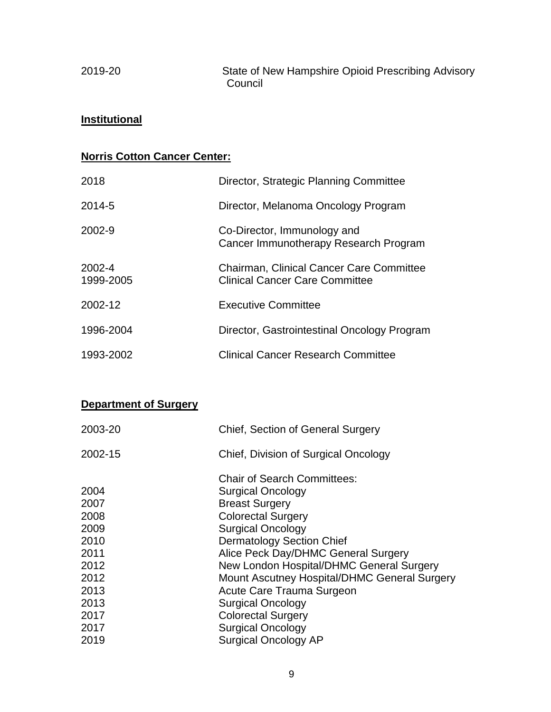2019-20 State of New Hampshire Opioid Prescribing Advisory Council

# **Institutional**

# **Norris Cotton Cancer Center:**

| 2018                | Director, Strategic Planning Committee                                                   |
|---------------------|------------------------------------------------------------------------------------------|
| 2014-5              | Director, Melanoma Oncology Program                                                      |
| 2002-9              | Co-Director, Immunology and<br>Cancer Immunotherapy Research Program                     |
| 2002-4<br>1999-2005 | <b>Chairman, Clinical Cancer Care Committee</b><br><b>Clinical Cancer Care Committee</b> |
| 2002-12             | <b>Executive Committee</b>                                                               |
| 1996-2004           | Director, Gastrointestinal Oncology Program                                              |
| 1993-2002           | <b>Clinical Cancer Research Committee</b>                                                |

# **Department of Surgery**

| <b>Chief, Section of General Surgery</b>     |
|----------------------------------------------|
| Chief, Division of Surgical Oncology         |
| <b>Chair of Search Committees:</b>           |
| <b>Surgical Oncology</b>                     |
| <b>Breast Surgery</b>                        |
| <b>Colorectal Surgery</b>                    |
| <b>Surgical Oncology</b>                     |
| <b>Dermatology Section Chief</b>             |
| Alice Peck Day/DHMC General Surgery          |
| New London Hospital/DHMC General Surgery     |
| Mount Ascutney Hospital/DHMC General Surgery |
| Acute Care Trauma Surgeon                    |
| <b>Surgical Oncology</b>                     |
| <b>Colorectal Surgery</b>                    |
| <b>Surgical Oncology</b>                     |
| <b>Surgical Oncology AP</b>                  |
|                                              |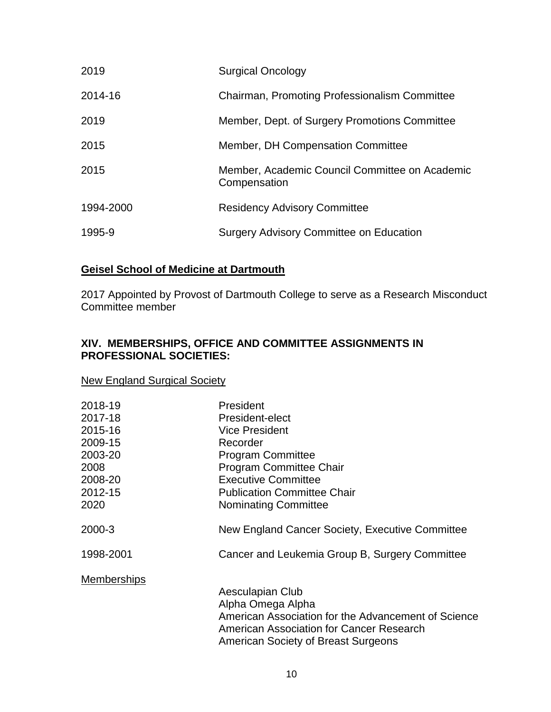| 2019      | <b>Surgical Oncology</b>                                       |
|-----------|----------------------------------------------------------------|
| 2014-16   | Chairman, Promoting Professionalism Committee                  |
| 2019      | Member, Dept. of Surgery Promotions Committee                  |
| 2015      | Member, DH Compensation Committee                              |
| 2015      | Member, Academic Council Committee on Academic<br>Compensation |
| 1994-2000 | <b>Residency Advisory Committee</b>                            |
| 1995-9    | <b>Surgery Advisory Committee on Education</b>                 |

# **Geisel School of Medicine at Dartmouth**

2017 Appointed by Provost of Dartmouth College to serve as a Research Misconduct Committee member

# **XIV. MEMBERSHIPS, OFFICE AND COMMITTEE ASSIGNMENTS IN PROFESSIONAL SOCIETIES:**

#### New England Surgical Society

| 2018-19            | President                                                                                       |
|--------------------|-------------------------------------------------------------------------------------------------|
| 2017-18            | President-elect                                                                                 |
| 2015-16            | <b>Vice President</b>                                                                           |
| 2009-15            | Recorder                                                                                        |
| 2003-20            | <b>Program Committee</b>                                                                        |
| 2008               | <b>Program Committee Chair</b>                                                                  |
| 2008-20            | <b>Executive Committee</b>                                                                      |
| 2012-15            | <b>Publication Committee Chair</b>                                                              |
| 2020               | <b>Nominating Committee</b>                                                                     |
| 2000-3             | New England Cancer Society, Executive Committee                                                 |
| 1998-2001          | Cancer and Leukemia Group B, Surgery Committee                                                  |
| <b>Memberships</b> |                                                                                                 |
|                    | Aesculapian Club                                                                                |
|                    | Alpha Omega Alpha                                                                               |
|                    | American Association for the Advancement of Science<br>American Association for Cancer Research |
|                    | American Society of Breast Surgeons                                                             |
|                    |                                                                                                 |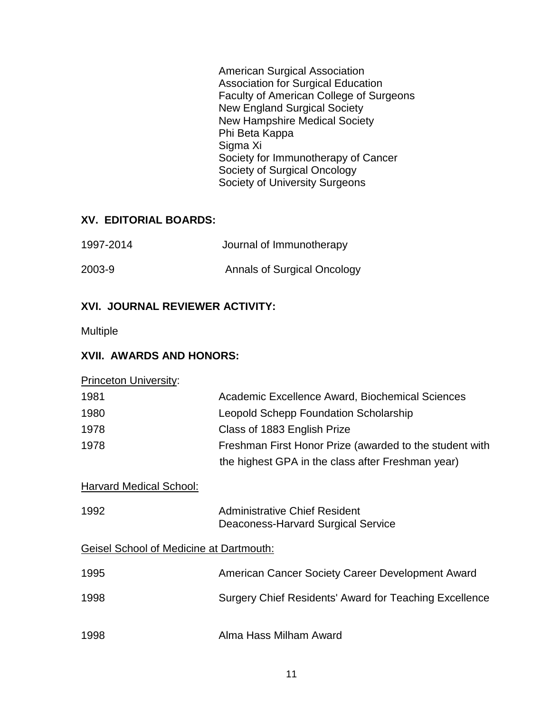American Surgical Association Association for Surgical Education Faculty of American College of Surgeons New England Surgical Society New Hampshire Medical Society Phi Beta Kappa Sigma Xi Society for Immunotherapy of Cancer Society of Surgical Oncology Society of University Surgeons

# **XV. EDITORIAL BOARDS:**

| 1997-2014 | Journal of Immunotherapy    |
|-----------|-----------------------------|
| 2003-9    | Annals of Surgical Oncology |

# **XVI. JOURNAL REVIEWER ACTIVITY:**

Multiple

# **XVII. AWARDS AND HONORS:**

| <b>Princeton University:</b>                   |                                                                            |
|------------------------------------------------|----------------------------------------------------------------------------|
| 1981                                           | Academic Excellence Award, Biochemical Sciences                            |
| 1980                                           | Leopold Schepp Foundation Scholarship                                      |
| 1978                                           | Class of 1883 English Prize                                                |
| 1978                                           | Freshman First Honor Prize (awarded to the student with                    |
|                                                | the highest GPA in the class after Freshman year)                          |
| Harvard Medical School:                        |                                                                            |
| 1992                                           | <b>Administrative Chief Resident</b><br>Deaconess-Harvard Surgical Service |
| <b>Geisel School of Medicine at Dartmouth:</b> |                                                                            |
| 1995                                           | American Cancer Society Career Development Award                           |
| 1998                                           | Surgery Chief Residents' Award for Teaching Excellence                     |
| 1998                                           | Alma Hass Milham Award                                                     |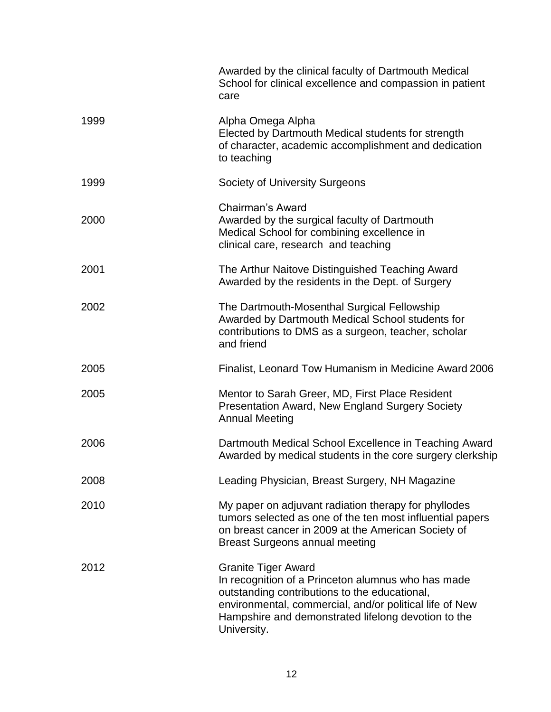|      | Awarded by the clinical faculty of Dartmouth Medical<br>School for clinical excellence and compassion in patient<br>care                                                                                                                                           |
|------|--------------------------------------------------------------------------------------------------------------------------------------------------------------------------------------------------------------------------------------------------------------------|
| 1999 | Alpha Omega Alpha<br>Elected by Dartmouth Medical students for strength<br>of character, academic accomplishment and dedication<br>to teaching                                                                                                                     |
| 1999 | Society of University Surgeons                                                                                                                                                                                                                                     |
| 2000 | Chairman's Award<br>Awarded by the surgical faculty of Dartmouth<br>Medical School for combining excellence in<br>clinical care, research and teaching                                                                                                             |
| 2001 | The Arthur Naitove Distinguished Teaching Award<br>Awarded by the residents in the Dept. of Surgery                                                                                                                                                                |
| 2002 | The Dartmouth-Mosenthal Surgical Fellowship<br>Awarded by Dartmouth Medical School students for<br>contributions to DMS as a surgeon, teacher, scholar<br>and friend                                                                                               |
| 2005 | Finalist, Leonard Tow Humanism in Medicine Award 2006                                                                                                                                                                                                              |
| 2005 | Mentor to Sarah Greer, MD, First Place Resident<br><b>Presentation Award, New England Surgery Society</b><br><b>Annual Meeting</b>                                                                                                                                 |
| 2006 | Dartmouth Medical School Excellence in Teaching Award<br>Awarded by medical students in the core surgery clerkship                                                                                                                                                 |
| 2008 | Leading Physician, Breast Surgery, NH Magazine                                                                                                                                                                                                                     |
| 2010 | My paper on adjuvant radiation therapy for phyllodes<br>tumors selected as one of the ten most influential papers<br>on breast cancer in 2009 at the American Society of<br><b>Breast Surgeons annual meeting</b>                                                  |
| 2012 | <b>Granite Tiger Award</b><br>In recognition of a Princeton alumnus who has made<br>outstanding contributions to the educational,<br>environmental, commercial, and/or political life of New<br>Hampshire and demonstrated lifelong devotion to the<br>University. |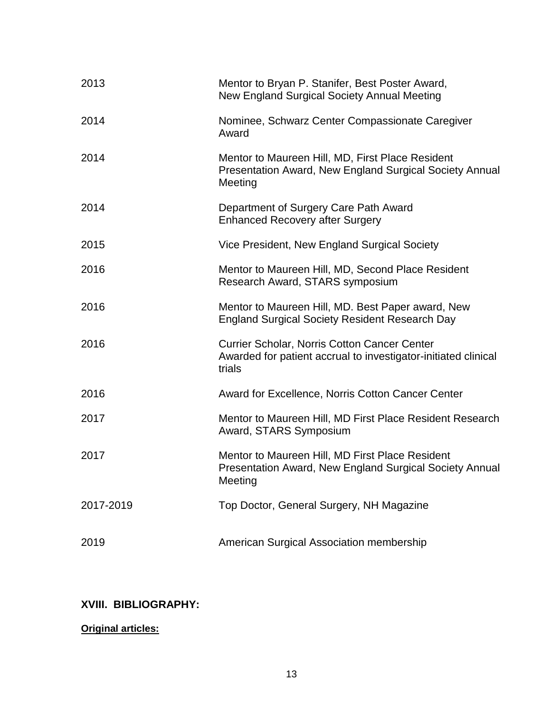| 2013      | Mentor to Bryan P. Stanifer, Best Poster Award,<br>New England Surgical Society Annual Meeting                           |
|-----------|--------------------------------------------------------------------------------------------------------------------------|
| 2014      | Nominee, Schwarz Center Compassionate Caregiver<br>Award                                                                 |
| 2014      | Mentor to Maureen Hill, MD, First Place Resident<br>Presentation Award, New England Surgical Society Annual<br>Meeting   |
| 2014      | Department of Surgery Care Path Award<br><b>Enhanced Recovery after Surgery</b>                                          |
| 2015      | Vice President, New England Surgical Society                                                                             |
| 2016      | Mentor to Maureen Hill, MD, Second Place Resident<br>Research Award, STARS symposium                                     |
| 2016      | Mentor to Maureen Hill, MD. Best Paper award, New<br><b>England Surgical Society Resident Research Day</b>               |
| 2016      | Currier Scholar, Norris Cotton Cancer Center<br>Awarded for patient accrual to investigator-initiated clinical<br>trials |
| 2016      | Award for Excellence, Norris Cotton Cancer Center                                                                        |
| 2017      | Mentor to Maureen Hill, MD First Place Resident Research<br>Award, STARS Symposium                                       |
| 2017      | Mentor to Maureen Hill, MD First Place Resident<br>Presentation Award, New England Surgical Society Annual<br>Meeting    |
| 2017-2019 | Top Doctor, General Surgery, NH Magazine                                                                                 |
| 2019      | American Surgical Association membership                                                                                 |

# **XVIII. BIBLIOGRAPHY:**

## **Original articles:**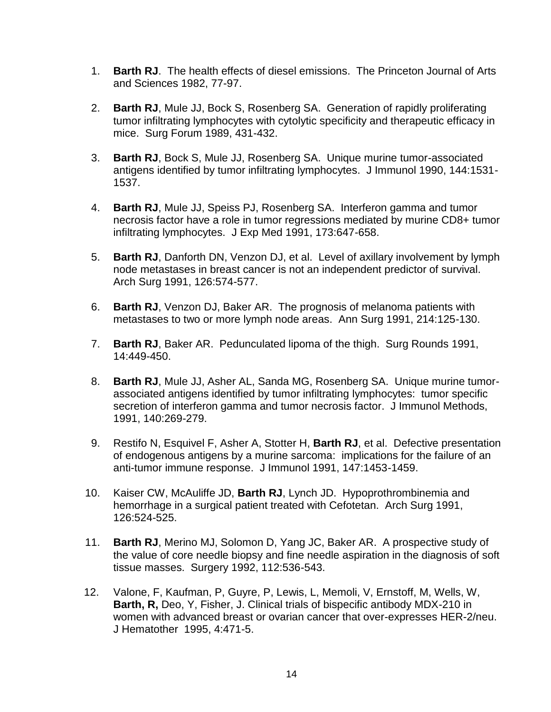- 1. **Barth RJ**. The health effects of diesel emissions. The Princeton Journal of Arts and Sciences 1982, 77-97.
- 2. **Barth RJ**, Mule JJ, Bock S, Rosenberg SA. Generation of rapidly proliferating tumor infiltrating lymphocytes with cytolytic specificity and therapeutic efficacy in mice. Surg Forum 1989, 431-432.
- 3. **Barth RJ**, Bock S, Mule JJ, Rosenberg SA. Unique murine tumor-associated antigens identified by tumor infiltrating lymphocytes. J Immunol 1990, 144:1531- 1537.
- 4. **Barth RJ**, Mule JJ, Speiss PJ, Rosenberg SA. Interferon gamma and tumor necrosis factor have a role in tumor regressions mediated by murine CD8+ tumor infiltrating lymphocytes. J Exp Med 1991, 173:647-658.
- 5. **Barth RJ**, Danforth DN, Venzon DJ, et al. Level of axillary involvement by lymph node metastases in breast cancer is not an independent predictor of survival. Arch Surg 1991, 126:574-577.
- 6. **Barth RJ**, Venzon DJ, Baker AR. The prognosis of melanoma patients with metastases to two or more lymph node areas. Ann Surg 1991, 214:125-130.
- 7. **Barth RJ**, Baker AR. Pedunculated lipoma of the thigh. Surg Rounds 1991, 14:449-450.
- 8. **Barth RJ**, Mule JJ, Asher AL, Sanda MG, Rosenberg SA. Unique murine tumorassociated antigens identified by tumor infiltrating lymphocytes: tumor specific secretion of interferon gamma and tumor necrosis factor. J Immunol Methods, 1991, 140:269-279.
- 9. Restifo N, Esquivel F, Asher A, Stotter H, **Barth RJ**, et al. Defective presentation of endogenous antigens by a murine sarcoma: implications for the failure of an anti-tumor immune response. J Immunol 1991, 147:1453-1459.
- 10. Kaiser CW, McAuliffe JD, **Barth RJ**, Lynch JD. Hypoprothrombinemia and hemorrhage in a surgical patient treated with Cefotetan. Arch Surg 1991, 126:524-525.
- 11. **Barth RJ**, Merino MJ, Solomon D, Yang JC, Baker AR. A prospective study of the value of core needle biopsy and fine needle aspiration in the diagnosis of soft tissue masses. Surgery 1992, 112:536-543.
- 12. Valone, F, Kaufman, P, Guyre, P, Lewis, L, Memoli, V, Ernstoff, M, Wells, W, **Barth, R,** Deo, Y, Fisher, J. Clinical trials of bispecific antibody MDX-210 in women with advanced breast or ovarian cancer that over-expresses HER-2/neu. J Hematother 1995, 4:471-5.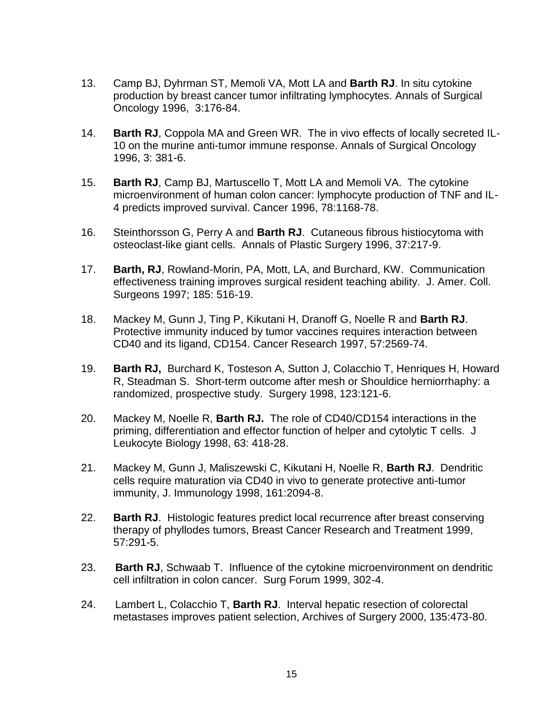- 13. Camp BJ, Dyhrman ST, Memoli VA, Mott LA and **Barth RJ**. In situ cytokine production by breast cancer tumor infiltrating lymphocytes. Annals of Surgical Oncology 1996, 3:176-84.
- 14. **Barth RJ**, Coppola MA and Green WR. The in vivo effects of locally secreted IL-10 on the murine anti-tumor immune response. Annals of Surgical Oncology 1996, 3: 381-6.
- 15. **Barth RJ**, Camp BJ, Martuscello T, Mott LA and Memoli VA. The cytokine microenvironment of human colon cancer: lymphocyte production of TNF and IL-4 predicts improved survival. Cancer 1996, 78:1168-78.
- 16. Steinthorsson G, Perry A and **Barth RJ**. Cutaneous fibrous histiocytoma with osteoclast-like giant cells. Annals of Plastic Surgery 1996, 37:217-9.
- 17. **Barth, RJ**, Rowland-Morin, PA, Mott, LA, and Burchard, KW. Communication effectiveness training improves surgical resident teaching ability. J. Amer. Coll. Surgeons 1997; 185: 516-19.
- 18. Mackey M, Gunn J, Ting P, Kikutani H, Dranoff G, Noelle R and **Barth RJ**. Protective immunity induced by tumor vaccines requires interaction between CD40 and its ligand, CD154. Cancer Research 1997, 57:2569-74.
- 19. **Barth RJ,** Burchard K, Tosteson A, Sutton J, Colacchio T, Henriques H, Howard R, Steadman S. Short-term outcome after mesh or Shouldice herniorrhaphy: a randomized, prospective study. Surgery 1998, 123:121-6.
- 20. Mackey M, Noelle R, **Barth RJ.** The role of CD40/CD154 interactions in the priming, differentiation and effector function of helper and cytolytic T cells. J Leukocyte Biology 1998, 63: 418-28.
- 21. Mackey M, Gunn J, Maliszewski C, Kikutani H, Noelle R, **Barth RJ**. Dendritic cells require maturation via CD40 in vivo to generate protective anti-tumor immunity, J. Immunology 1998, 161:2094-8.
- 22. **Barth RJ**. Histologic features predict local recurrence after breast conserving therapy of phyllodes tumors, Breast Cancer Research and Treatment 1999, 57:291-5.
- 23. **Barth RJ**, Schwaab T. Influence of the cytokine microenvironment on dendritic cell infiltration in colon cancer. Surg Forum 1999, 302-4.
- 24.Lambert L, Colacchio T, **Barth RJ**. Interval hepatic resection of colorectal metastases improves patient selection, Archives of Surgery 2000, 135:473-80.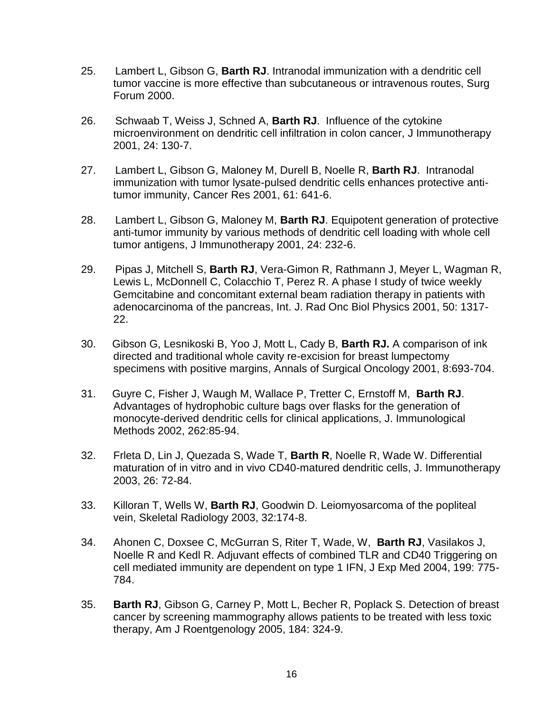- 25. Lambert L, Gibson G, **Barth RJ**. Intranodal immunization with a dendritic cell tumor vaccine is more effective than subcutaneous or intravenous routes, Surg Forum 2000.
- 26. Schwaab T, Weiss J, Schned A, **Barth RJ**. Influence of the cytokine microenvironment on dendritic cell infiltration in colon cancer, J Immunotherapy 2001, 24: 130-7.
- 27. Lambert L, Gibson G, Maloney M, Durell B, Noelle R, **Barth RJ**. Intranodal immunization with tumor lysate-pulsed dendritic cells enhances protective antitumor immunity, Cancer Res 2001, 61: 641-6.
- 28. Lambert L, Gibson G, Maloney M, **Barth RJ**. Equipotent generation of protective anti-tumor immunity by various methods of dendritic cell loading with whole cell tumor antigens, J Immunotherapy 2001, 24: 232-6.
- 29. Pipas J, Mitchell S, **Barth RJ**, Vera-Gimon R, Rathmann J, Meyer L, Wagman R, Lewis L, McDonnell C, Colacchio T, Perez R. A phase I study of twice weekly Gemcitabine and concomitant external beam radiation therapy in patients with adenocarcinoma of the pancreas, Int. J. Rad Onc Biol Physics 2001, 50: 1317- 22.
- 30. Gibson G, Lesnikoski B, Yoo J, Mott L, Cady B, **Barth RJ.** A comparison of ink directed and traditional whole cavity re-excision for breast lumpectomy specimens with positive margins, Annals of Surgical Oncology 2001, 8:693-704.
- 31. Guyre C, Fisher J, Waugh M, Wallace P, Tretter C, Ernstoff M, **Barth RJ**. Advantages of hydrophobic culture bags over flasks for the generation of monocyte-derived dendritic cells for clinical applications, J. Immunological Methods 2002, 262:85-94.
- 32. Frleta D, Lin J, Quezada S, Wade T, **Barth R**, Noelle R, Wade W. Differential maturation of in vitro and in vivo CD40-matured dendritic cells, J. Immunotherapy 2003, 26: 72-84.
- 33. Killoran T, Wells W, **Barth RJ**, Goodwin D. Leiomyosarcoma of the popliteal vein, Skeletal Radiology 2003, 32:174-8.
- 34. Ahonen C, Doxsee C, McGurran S, Riter T, Wade, W, **Barth RJ**, Vasilakos J, Noelle R and Kedl R. Adjuvant effects of combined TLR and CD40 Triggering on cell mediated immunity are dependent on type 1 IFN, J Exp Med 2004, 199: 775- 784.
- 35. **Barth RJ**, Gibson G, Carney P, Mott L, Becher R, Poplack S. Detection of breast cancer by screening mammography allows patients to be treated with less toxic therapy, Am J Roentgenology 2005, 184: 324-9.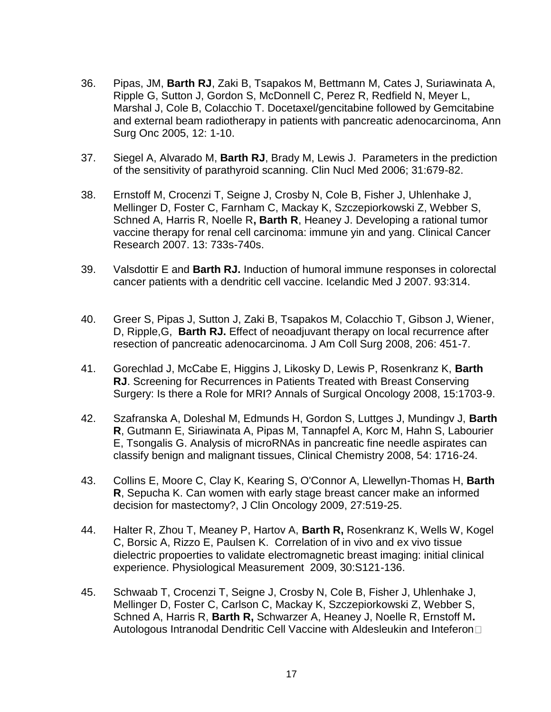- 36. Pipas, JM, **Barth RJ**, Zaki B, Tsapakos M, Bettmann M, Cates J, Suriawinata A, Ripple G, Sutton J, Gordon S, McDonnell C, Perez R, Redfield N, Meyer L, Marshal J, Cole B, Colacchio T. Docetaxel/gencitabine followed by Gemcitabine and external beam radiotherapy in patients with pancreatic adenocarcinoma, Ann Surg Onc 2005, 12: 1-10.
- 37. Siegel A, Alvarado M, **Barth RJ**, Brady M, Lewis J. Parameters in the prediction of the sensitivity of parathyroid scanning. Clin Nucl Med 2006; 31:679-82.
- 38. Ernstoff M, Crocenzi T, Seigne J, Crosby N, Cole B, Fisher J, Uhlenhake J, Mellinger D, Foster C, Farnham C, Mackay K, Szczepiorkowski Z, Webber S, Schned A, Harris R, Noelle R**, Barth R**, Heaney J. Developing a rational tumor vaccine therapy for renal cell carcinoma: immune yin and yang. Clinical Cancer Research 2007. 13: 733s-740s.
- 39. Valsdottir E and **Barth RJ.** Induction of humoral immune responses in colorectal cancer patients with a dendritic cell vaccine. Icelandic Med J 2007. 93:314.
- 40. Greer S, Pipas J, Sutton J, Zaki B, Tsapakos M, Colacchio T, Gibson J, Wiener, D, Ripple,G, **Barth RJ.** Effect of neoadjuvant therapy on local recurrence after resection of pancreatic adenocarcinoma. J Am Coll Surg 2008, 206: 451-7.
- 41. Gorechlad J, McCabe E, Higgins J, Likosky D, Lewis P, Rosenkranz K, **Barth RJ**. Screening for Recurrences in Patients Treated with Breast Conserving Surgery: Is there a Role for MRI? Annals of Surgical Oncology 2008, 15:1703-9.
- 42. Szafranska A, Doleshal M, Edmunds H, Gordon S, Luttges J, Mundingv J, **Barth R**, Gutmann E, Siriawinata A, Pipas M, Tannapfel A, Korc M, Hahn S, Labourier E, Tsongalis G. Analysis of microRNAs in pancreatic fine needle aspirates can classify benign and malignant tissues, Clinical Chemistry 2008, 54: 1716-24.
- 43. Collins E, Moore C, Clay K, Kearing S, O'Connor A, Llewellyn-Thomas H, **Barth R**, Sepucha K. Can women with early stage breast cancer make an informed decision for mastectomy?, J Clin Oncology 2009, 27:519-25.
- 44. Halter R, Zhou T, Meaney P, Hartov A, **Barth R,** Rosenkranz K, Wells W, Kogel C, Borsic A, Rizzo E, Paulsen K. Correlation of in vivo and ex vivo tissue dielectric propoerties to validate electromagnetic breast imaging: initial clinical experience. Physiological Measurement 2009, 30:S121-136.
- 45. Schwaab T, Crocenzi T, Seigne J, Crosby N, Cole B, Fisher J, Uhlenhake J, Mellinger D, Foster C, Carlson C, Mackay K, Szczepiorkowski Z, Webber S, Schned A, Harris R, **Barth R,** Schwarzer A, Heaney J, Noelle R, Ernstoff M**.**  Autologous Intranodal Dendritic Cell Vaccine with Aldesleukin and Inteferon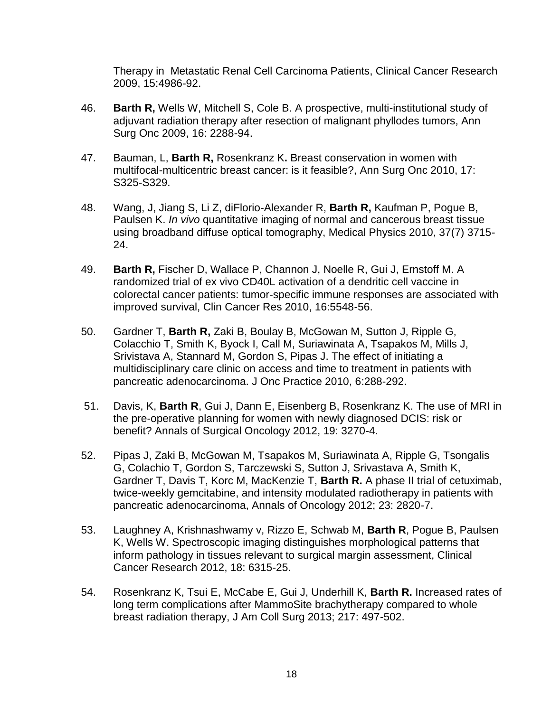Therapy in Metastatic Renal Cell Carcinoma Patients, Clinical Cancer Research 2009, 15:4986-92.

- 46. **Barth R,** Wells W, Mitchell S, Cole B. A prospective, multi-institutional study of adjuvant radiation therapy after resection of malignant phyllodes tumors, Ann Surg Onc 2009, 16: 2288-94.
- 47. Bauman, L, **Barth R,** Rosenkranz K**.** Breast conservation in women with multifocal-multicentric breast cancer: is it feasible?, Ann Surg Onc 2010, 17: S325-S329.
- 48. Wang, J, Jiang S, Li Z, diFlorio-Alexander R, **Barth R,** Kaufman P, Pogue B, Paulsen K. *In vivo* quantitative imaging of normal and cancerous breast tissue using broadband diffuse optical tomography, Medical Physics 2010, 37(7) 3715- 24.
- 49. **Barth R,** Fischer D, Wallace P, Channon J, Noelle R, Gui J, Ernstoff M. A randomized trial of ex vivo CD40L activation of a dendritic cell vaccine in colorectal cancer patients: tumor-specific immune responses are associated with improved survival, Clin Cancer Res 2010, 16:5548-56.
- 50. Gardner T, **Barth R,** Zaki B, Boulay B, McGowan M, Sutton J, Ripple G, Colacchio T, Smith K, Byock I, Call M, Suriawinata A, Tsapakos M, Mills J, Srivistava A, Stannard M, Gordon S, Pipas J. The effect of initiating a multidisciplinary care clinic on access and time to treatment in patients with pancreatic adenocarcinoma. J Onc Practice 2010, 6:288-292.
- 51. Davis, K, **Barth R**, Gui J, Dann E, Eisenberg B, Rosenkranz K. The use of MRI in the pre-operative planning for women with newly diagnosed DCIS: risk or benefit? Annals of Surgical Oncology 2012, 19: 3270-4.
- 52. Pipas J, Zaki B, McGowan M, Tsapakos M, Suriawinata A, Ripple G, Tsongalis G, Colachio T, Gordon S, Tarczewski S, Sutton J, Srivastava A, Smith K, Gardner T, Davis T, Korc M, MacKenzie T, **Barth R.** A phase II trial of cetuximab, twice-weekly gemcitabine, and intensity modulated radiotherapy in patients with pancreatic adenocarcinoma, Annals of Oncology 2012; 23: 2820-7.
- 53. Laughney A, Krishnashwamy v, Rizzo E, Schwab M, **Barth R**, Pogue B, Paulsen K, Wells W. Spectroscopic imaging distinguishes morphological patterns that inform pathology in tissues relevant to surgical margin assessment, Clinical Cancer Research 2012, 18: 6315-25.
- 54. Rosenkranz K, Tsui E, McCabe E, Gui J, Underhill K, **Barth R.** Increased rates of long term complications after MammoSite brachytherapy compared to whole breast radiation therapy, J Am Coll Surg 2013; 217: 497-502.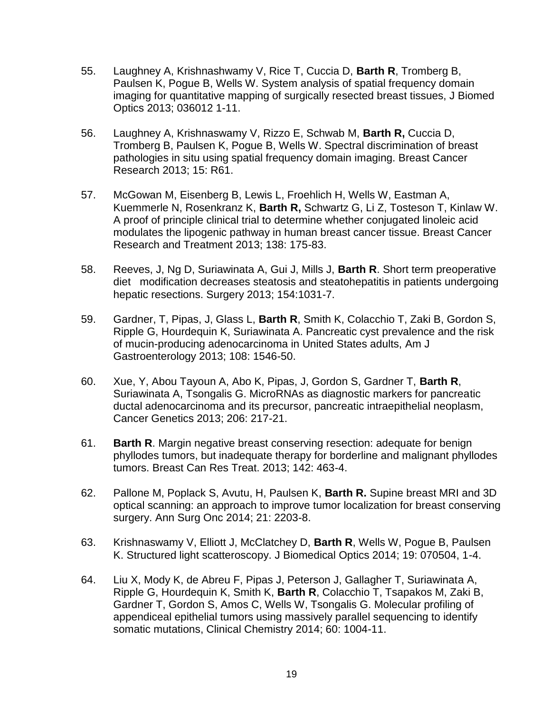- 55. Laughney A, Krishnashwamy V, Rice T, Cuccia D, **Barth R**, Tromberg B, Paulsen K, Pogue B, Wells W. System analysis of spatial frequency domain imaging for quantitative mapping of surgically resected breast tissues, J Biomed Optics 2013; 036012 1-11.
- 56. Laughney A, Krishnaswamy V, Rizzo E, Schwab M, **Barth R,** Cuccia D, Tromberg B, Paulsen K, Pogue B, Wells W. Spectral discrimination of breast pathologies in situ using spatial frequency domain imaging. Breast Cancer Research 2013; 15: R61.
- 57. McGowan M, Eisenberg B, Lewis L, Froehlich H, Wells W, Eastman A, Kuemmerle N, Rosenkranz K, **Barth R,** Schwartz G, Li Z, Tosteson T, Kinlaw W. A proof of principle clinical trial to determine whether conjugated linoleic acid modulates the lipogenic pathway in human breast cancer tissue. Breast Cancer Research and Treatment 2013; 138: 175-83.
- 58. Reeves, J, Ng D, Suriawinata A, Gui J, Mills J, **Barth R**. Short term preoperative diet modification decreases steatosis and steatohepatitis in patients undergoing hepatic resections. Surgery 2013; 154:1031-7.
- 59. Gardner, T, Pipas, J, Glass L, **Barth R**, Smith K, Colacchio T, Zaki B, Gordon S, Ripple G, Hourdequin K, Suriawinata A. Pancreatic cyst prevalence and the risk of mucin-producing adenocarcinoma in United States adults, Am J Gastroenterology 2013; 108: 1546-50.
- 60. Xue, Y, Abou Tayoun A, Abo K, Pipas, J, Gordon S, Gardner T, **Barth R**, Suriawinata A, Tsongalis G. MicroRNAs as diagnostic markers for pancreatic ductal adenocarcinoma and its precursor, pancreatic intraepithelial neoplasm, Cancer Genetics 2013; 206: 217-21.
- 61. **Barth R**. Margin negative breast conserving resection: adequate for benign phyllodes tumors, but inadequate therapy for borderline and malignant phyllodes tumors. Breast Can Res Treat. 2013; 142: 463-4.
- 62. Pallone M, Poplack S, Avutu, H, Paulsen K, **Barth R.** Supine breast MRI and 3D optical scanning: an approach to improve tumor localization for breast conserving surgery. Ann Surg Onc 2014; 21: 2203-8.
- 63. Krishnaswamy V, Elliott J, McClatchey D, **Barth R**, Wells W, Pogue B, Paulsen K. Structured light scatteroscopy. J Biomedical Optics 2014; 19: 070504, 1-4.
- 64. Liu X, Mody K, de Abreu F, Pipas J, Peterson J, Gallagher T, Suriawinata A, Ripple G, Hourdequin K, Smith K, **Barth R**, Colacchio T, Tsapakos M, Zaki B, Gardner T, Gordon S, Amos C, Wells W, Tsongalis G. Molecular profiling of appendiceal epithelial tumors using massively parallel sequencing to identify somatic mutations, Clinical Chemistry 2014; 60: 1004-11.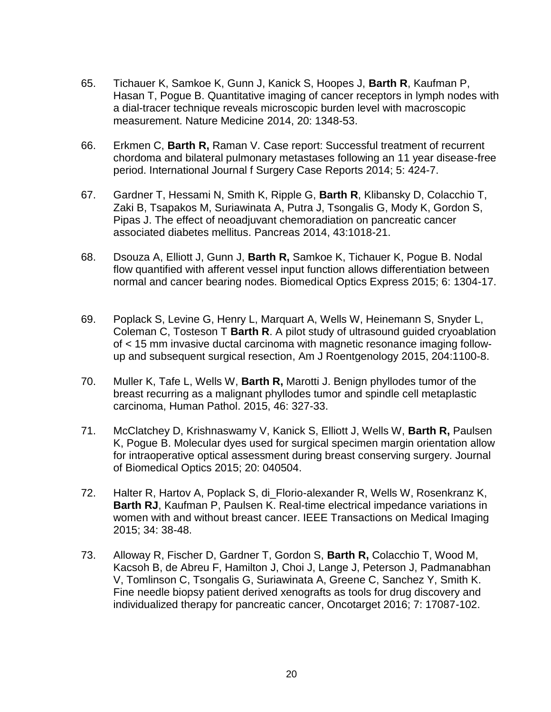- 65. Tichauer K, Samkoe K, Gunn J, Kanick S, Hoopes J, **Barth R**, Kaufman P, Hasan T, Pogue B. Quantitative imaging of cancer receptors in lymph nodes with a dial-tracer technique reveals microscopic burden level with macroscopic measurement. Nature Medicine 2014, 20: 1348-53.
- 66. Erkmen C, **Barth R,** Raman V. Case report: Successful treatment of recurrent chordoma and bilateral pulmonary metastases following an 11 year disease-free period. International Journal f Surgery Case Reports 2014; 5: 424-7.
- 67. Gardner T, Hessami N, Smith K, Ripple G, **Barth R**, Klibansky D, Colacchio T, Zaki B, Tsapakos M, Suriawinata A, Putra J, Tsongalis G, Mody K, Gordon S, Pipas J. The effect of neoadjuvant chemoradiation on pancreatic cancer associated diabetes mellitus. Pancreas 2014, 43:1018-21.
- 68. Dsouza A, Elliott J, Gunn J, **Barth R,** Samkoe K, Tichauer K, Pogue B. Nodal flow quantified with afferent vessel input function allows differentiation between normal and cancer bearing nodes. Biomedical Optics Express 2015; 6: 1304-17.
- 69. Poplack S, Levine G, Henry L, Marquart A, Wells W, Heinemann S, Snyder L, Coleman C, Tosteson T **Barth R**. A pilot study of ultrasound guided cryoablation of < 15 mm invasive ductal carcinoma with magnetic resonance imaging followup and subsequent surgical resection, Am J Roentgenology 2015, 204:1100-8.
- 70. Muller K, Tafe L, Wells W, **Barth R,** Marotti J. Benign phyllodes tumor of the breast recurring as a malignant phyllodes tumor and spindle cell metaplastic carcinoma, Human Pathol. 2015, 46: 327-33.
- 71. McClatchey D, Krishnaswamy V, Kanick S, Elliott J, Wells W, **Barth R,** Paulsen K, Pogue B. Molecular dyes used for surgical specimen margin orientation allow for intraoperative optical assessment during breast conserving surgery. Journal of Biomedical Optics 2015; 20: 040504.
- 72. Halter R, Hartov A, Poplack S, di\_Florio-alexander R, Wells W, Rosenkranz K, **Barth RJ**, Kaufman P, Paulsen K. Real-time electrical impedance variations in women with and without breast cancer. IEEE Transactions on Medical Imaging 2015; 34: 38-48.
- 73. Alloway R, Fischer D, Gardner T, Gordon S, **Barth R,** Colacchio T, Wood M, Kacsoh B, de Abreu F, Hamilton J, Choi J, Lange J, Peterson J, Padmanabhan V, Tomlinson C, Tsongalis G, Suriawinata A, Greene C, Sanchez Y, Smith K. Fine needle biopsy patient derived xenografts as tools for drug discovery and individualized therapy for pancreatic cancer, Oncotarget 2016; 7: 17087-102.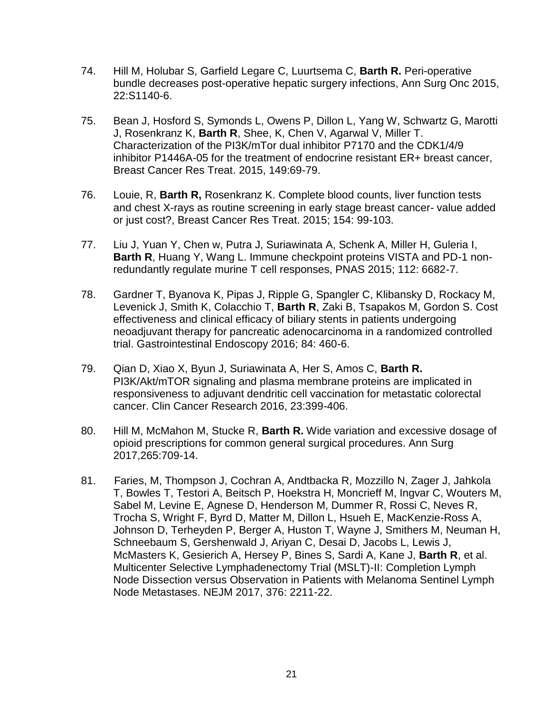- 74. Hill M, Holubar S, Garfield Legare C, Luurtsema C, **Barth R.** Peri-operative bundle decreases post-operative hepatic surgery infections, Ann Surg Onc 2015, 22:S1140-6.
- 75. Bean J, Hosford S, Symonds L, Owens P, Dillon L, Yang W, Schwartz G, Marotti J, Rosenkranz K, **Barth R**, Shee, K, Chen V, Agarwal V, Miller T. Characterization of the PI3K/mTor dual inhibitor P7170 and the CDK1/4/9 inhibitor P1446A-05 for the treatment of endocrine resistant ER+ breast cancer, Breast Cancer Res Treat. 2015, 149:69-79.
- 76. Louie, R, **Barth R,** Rosenkranz K. Complete blood counts, liver function tests and chest X-rays as routine screening in early stage breast cancer- value added or just cost?, Breast Cancer Res Treat. 2015; 154: 99-103.
- 77. Liu J, Yuan Y, Chen w, Putra J, Suriawinata A, Schenk A, Miller H, Guleria I, **Barth R**, Huang Y, Wang L. Immune checkpoint proteins VISTA and PD-1 nonredundantly regulate murine T cell responses, PNAS 2015; 112: 6682-7.
- 78. Gardner T, Byanova K, Pipas J, Ripple G, Spangler C, Klibansky D, Rockacy M, Levenick J, Smith K, Colacchio T, **Barth R**, Zaki B, Tsapakos M, Gordon S. Cost effectiveness and clinical efficacy of biliary stents in patients undergoing neoadjuvant therapy for pancreatic adenocarcinoma in a randomized controlled trial. Gastrointestinal Endoscopy 2016; 84: 460-6.
- 79. Qian D, Xiao X, Byun J, Suriawinata A, Her S, Amos C, **Barth R.** PI3K/Akt/mTOR signaling and plasma membrane proteins are implicated in responsiveness to adjuvant dendritic cell vaccination for metastatic colorectal cancer. Clin Cancer Research 2016, 23:399-406.
- 80. Hill M, McMahon M, Stucke R, **Barth R.** Wide variation and excessive dosage of opioid prescriptions for common general surgical procedures. Ann Surg 2017,265:709-14.
- 81. Faries, M, Thompson J, Cochran A, Andtbacka R, Mozzillo N, Zager J, Jahkola T, Bowles T, Testori A, Beitsch P, Hoekstra H, Moncrieff M, Ingvar C, Wouters M, Sabel M, Levine E, Agnese D, Henderson M, Dummer R, Rossi C, Neves R, Trocha S, Wright F, Byrd D, Matter M, Dillon L, Hsueh E, MacKenzie-Ross A, Johnson D, Terheyden P, Berger A, Huston T, Wayne J, Smithers M, Neuman H, Schneebaum S, Gershenwald J, Ariyan C, Desai D, Jacobs L, Lewis J, McMasters K, Gesierich A, Hersey P, Bines S, Sardi A, Kane J, **Barth R**, et al. Multicenter Selective Lymphadenectomy Trial (MSLT)-II: Completion Lymph Node Dissection versus Observation in Patients with Melanoma Sentinel Lymph Node Metastases. NEJM 2017, 376: 2211-22.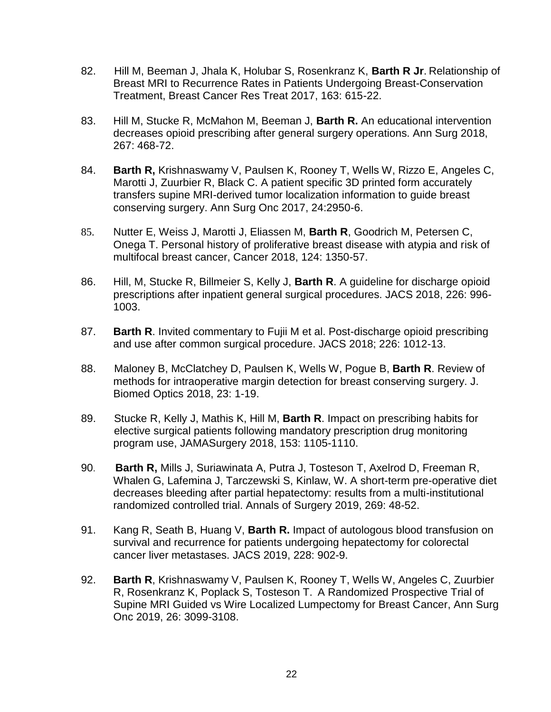- 82. Hill M, Beeman J, Jhala K, Holubar S, Rosenkranz K, **Barth R Jr**. Relationship of Breast MRI to Recurrence Rates in Patients Undergoing Breast-Conservation Treatment, Breast Cancer Res Treat 2017, 163: 615-22.
- 83. Hill M, Stucke R, McMahon M, Beeman J, **Barth R.** An educational intervention decreases opioid prescribing after general surgery operations. Ann Surg 2018, 267: 468-72.
- 84. **Barth R,** Krishnaswamy V, Paulsen K, Rooney T, Wells W, Rizzo E, Angeles C, Marotti J, Zuurbier R, Black C. A patient specific 3D printed form accurately transfers supine MRI-derived tumor localization information to guide breast conserving surgery. Ann Surg Onc 2017, 24:2950-6.
- 85. Nutter E, Weiss J, Marotti J, Eliassen M, **Barth R**, Goodrich M, Petersen C, Onega T. Personal history of proliferative breast disease with atypia and risk of multifocal breast cancer, Cancer 2018, 124: 1350-57.
- 86. Hill, M, Stucke R, Billmeier S, Kelly J, **Barth R**. A guideline for discharge opioid prescriptions after inpatient general surgical procedures. JACS 2018, 226: 996- 1003.
- 87. **Barth R**. Invited commentary to Fujii M et al. Post-discharge opioid prescribing and use after common surgical procedure. JACS 2018; 226: 1012-13.
- 88. Maloney B, McClatchey D, Paulsen K, Wells W, Pogue B, **Barth R**. Review of methods for intraoperative margin detection for breast conserving surgery. J. Biomed Optics 2018, 23: 1-19.
- 89. Stucke R, Kelly J, Mathis K, Hill M, **Barth R**. Impact on prescribing habits for elective surgical patients following mandatory prescription drug monitoring program use, JAMASurgery 2018, 153: 1105-1110.
- 90. **Barth R,** Mills J, Suriawinata A, Putra J, Tosteson T, Axelrod D, Freeman R, Whalen G, Lafemina J, Tarczewski S, Kinlaw, W. A short-term pre-operative diet decreases bleeding after partial hepatectomy: results from a multi-institutional randomized controlled trial. Annals of Surgery 2019, 269: 48-52.
- 91. Kang R, Seath B, Huang V, **Barth R.** Impact of autologous blood transfusion on survival and recurrence for patients undergoing hepatectomy for colorectal cancer liver metastases. JACS 2019, 228: 902-9.
- 92. **Barth R**, Krishnaswamy V, Paulsen K, Rooney T, Wells W, Angeles C, Zuurbier R, Rosenkranz K, Poplack S, Tosteson T. A Randomized Prospective Trial of Supine MRI Guided vs Wire Localized Lumpectomy for Breast Cancer, Ann Surg Onc 2019, 26: 3099-3108.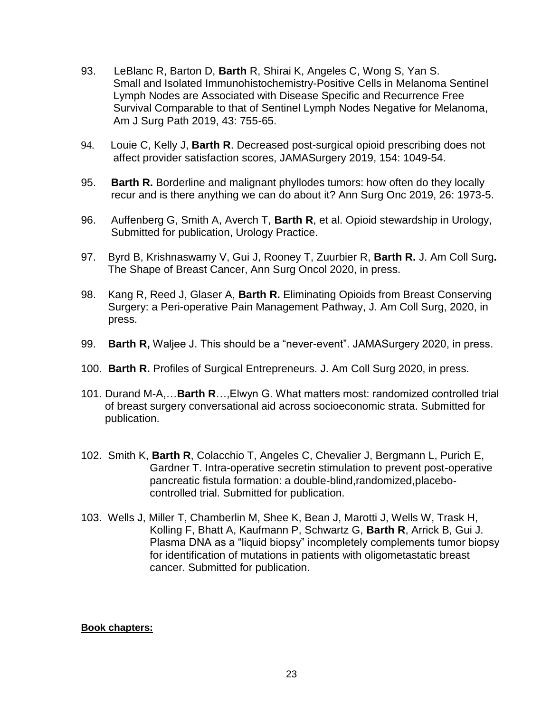- 93. LeBlanc R, Barton D, **Barth** R, Shirai K, Angeles C, Wong S, Yan S. Small and Isolated Immunohistochemistry-Positive Cells in Melanoma Sentinel Lymph Nodes are Associated with Disease Specific and Recurrence Free Survival Comparable to that of Sentinel Lymph Nodes Negative for Melanoma, Am J Surg Path 2019, 43: 755-65.
- 94. Louie C, Kelly J, **Barth R**. Decreased post-surgical opioid prescribing does not affect provider satisfaction scores, JAMASurgery 2019, 154: 1049-54.
- 95. **Barth R.** Borderline and malignant phyllodes tumors: how often do they locally recur and is there anything we can do about it? Ann Surg Onc 2019, 26: 1973-5.
- 96. Auffenberg G, Smith A, Averch T, **Barth R**, et al. Opioid stewardship in Urology, Submitted for publication, Urology Practice.
- 97. Byrd B, Krishnaswamy V, Gui J, Rooney T, Zuurbier R, **Barth R.** J. Am Coll Surg**.** The Shape of Breast Cancer, Ann Surg Oncol 2020, in press.
- 98. Kang R, Reed J, Glaser A, **Barth R.** Eliminating Opioids from Breast Conserving Surgery: a Peri-operative Pain Management Pathway, J. Am Coll Surg, 2020, in press.
- 99. **Barth R,** Waljee J. This should be a "never-event". JAMASurgery 2020, in press.
- 100. **Barth R.** Profiles of Surgical Entrepreneurs. J. Am Coll Surg 2020, in press.
- 101. Durand M-A,…**Barth R**…,Elwyn G. What matters most: randomized controlled trial of breast surgery conversational aid across socioeconomic strata. Submitted for publication.
- 102. Smith K, **Barth R**, Colacchio T, Angeles C, Chevalier J, Bergmann L, Purich E, Gardner T. Intra-operative secretin stimulation to prevent post-operative pancreatic fistula formation: a double-blind,randomized,placebocontrolled trial. Submitted for publication.
- 103. Wells J, Miller T, Chamberlin M, Shee K, Bean J, Marotti J, Wells W, Trask H, Kolling F, Bhatt A, Kaufmann P, Schwartz G, **Barth R**, Arrick B, Gui J. Plasma DNA as a "liquid biopsy" incompletely complements tumor biopsy for identification of mutations in patients with oligometastatic breast cancer. Submitted for publication.

#### **Book chapters:**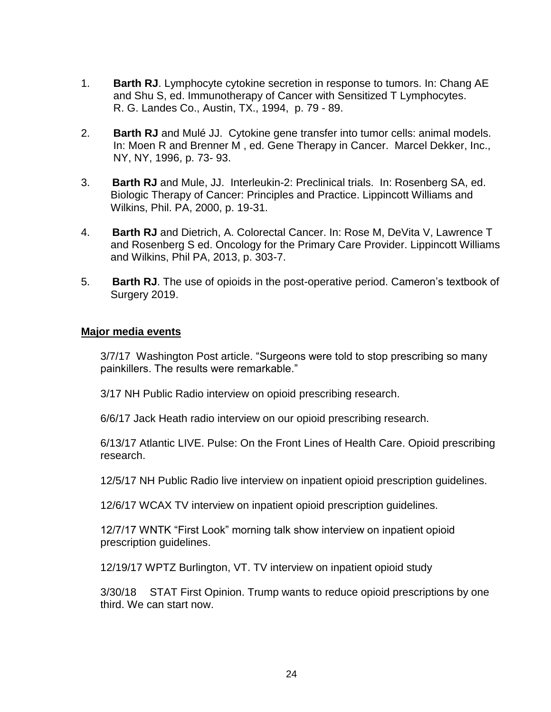- 1. **Barth RJ**. Lymphocyte cytokine secretion in response to tumors. In: Chang AE and Shu S, ed. Immunotherapy of Cancer with Sensitized T Lymphocytes. R. G. Landes Co., Austin, TX., 1994, p. 79 - 89.
- 2. **Barth RJ** and Mulé JJ. Cytokine gene transfer into tumor cells: animal models. In: Moen R and Brenner M , ed. Gene Therapy in Cancer. Marcel Dekker, Inc., NY, NY, 1996, p. 73- 93.
- 3. **Barth RJ** and Mule, JJ. Interleukin-2: Preclinical trials. In: Rosenberg SA, ed. Biologic Therapy of Cancer: Principles and Practice. Lippincott Williams and Wilkins, Phil. PA, 2000, p. 19-31.
- 4. **Barth RJ** and Dietrich, A. Colorectal Cancer. In: Rose M, DeVita V, Lawrence T and Rosenberg S ed. Oncology for the Primary Care Provider. Lippincott Williams and Wilkins, Phil PA, 2013, p. 303-7.
- 5. **Barth RJ**. The use of opioids in the post-operative period. Cameron's textbook of Surgery 2019.

#### **Major media events**

3/7/17 Washington Post article. "Surgeons were told to stop prescribing so many painkillers. The results were remarkable."

3/17 NH Public Radio interview on opioid prescribing research.

6/6/17 Jack Heath radio interview on our opioid prescribing research.

6/13/17 Atlantic LIVE. Pulse: On the Front Lines of Health Care. Opioid prescribing research.

12/5/17 NH Public Radio live interview on inpatient opioid prescription guidelines.

12/6/17 WCAX TV interview on inpatient opioid prescription guidelines.

12/7/17 WNTK "First Look" morning talk show interview on inpatient opioid prescription guidelines.

12/19/17 WPTZ Burlington, VT. TV interview on inpatient opioid study

3/30/18 STAT First Opinion. Trump wants to reduce opioid prescriptions by one third. We can start now.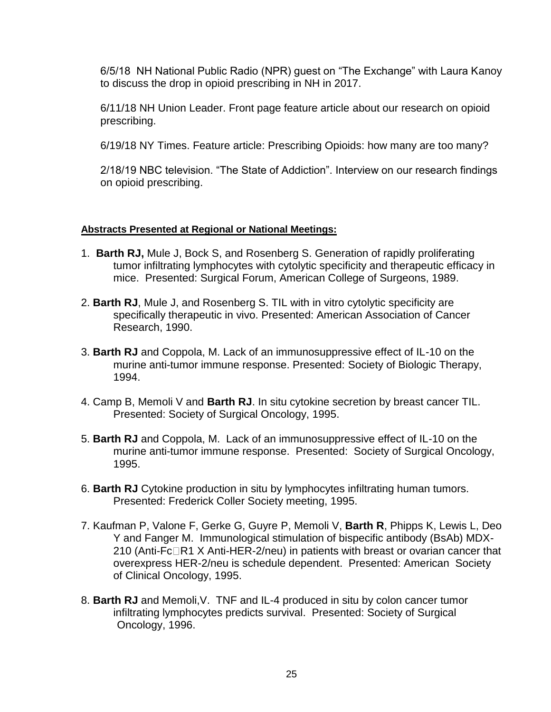6/5/18 NH National Public Radio (NPR) guest on "The Exchange" with Laura Kanoy to discuss the drop in opioid prescribing in NH in 2017.

6/11/18 NH Union Leader. Front page feature article about our research on opioid prescribing.

6/19/18 NY Times. Feature article: Prescribing Opioids: how many are too many?

2/18/19 NBC television. "The State of Addiction". Interview on our research findings on opioid prescribing.

#### **Abstracts Presented at Regional or National Meetings:**

- 1. **Barth RJ,** Mule J, Bock S, and Rosenberg S. Generation of rapidly proliferating tumor infiltrating lymphocytes with cytolytic specificity and therapeutic efficacy in mice. Presented: Surgical Forum, American College of Surgeons, 1989.
- 2. **Barth RJ**, Mule J, and Rosenberg S. TIL with in vitro cytolytic specificity are specifically therapeutic in vivo. Presented: American Association of Cancer Research, 1990.
- 3. **Barth RJ** and Coppola, M. Lack of an immunosuppressive effect of IL-10 on the murine anti-tumor immune response. Presented: Society of Biologic Therapy, 1994.
- 4. Camp B, Memoli V and **Barth RJ**. In situ cytokine secretion by breast cancer TIL. Presented: Society of Surgical Oncology, 1995.
- 5. **Barth RJ** and Coppola, M. Lack of an immunosuppressive effect of IL-10 on the murine anti-tumor immune response. Presented: Society of Surgical Oncology, 1995.
- 6. **Barth RJ** Cytokine production in situ by lymphocytes infiltrating human tumors. Presented: Frederick Coller Society meeting, 1995.
- 7. Kaufman P, Valone F, Gerke G, Guyre P, Memoli V, **Barth R**, Phipps K, Lewis L, Deo Y and Fanger M. Immunological stimulation of bispecific antibody (BsAb) MDX-210 (Anti-Fc $\Box$ R1 X Anti-HER-2/neu) in patients with breast or ovarian cancer that overexpress HER-2/neu is schedule dependent. Presented: American Society of Clinical Oncology, 1995.
- 8. **Barth RJ** and Memoli,V. TNF and IL-4 produced in situ by colon cancer tumor infiltrating lymphocytes predicts survival. Presented: Society of Surgical Oncology, 1996.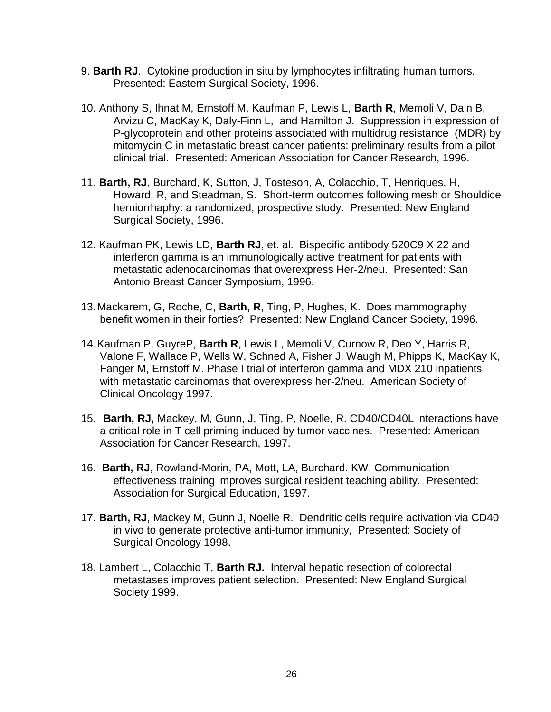- 9. **Barth RJ**. Cytokine production in situ by lymphocytes infiltrating human tumors. Presented: Eastern Surgical Society, 1996.
- 10. Anthony S, Ihnat M, Ernstoff M, Kaufman P, Lewis L, **Barth R**, Memoli V, Dain B, Arvizu C, MacKay K, Daly-Finn L, and Hamilton J. Suppression in expression of P-glycoprotein and other proteins associated with multidrug resistance (MDR) by mitomycin C in metastatic breast cancer patients: preliminary results from a pilot clinical trial. Presented: American Association for Cancer Research, 1996.
- 11. **Barth, RJ**, Burchard, K, Sutton, J, Tosteson, A, Colacchio, T, Henriques, H, Howard, R, and Steadman, S. Short-term outcomes following mesh or Shouldice herniorrhaphy: a randomized, prospective study. Presented: New England Surgical Society, 1996.
- 12. Kaufman PK, Lewis LD, **Barth RJ**, et. al. Bispecific antibody 520C9 X 22 and interferon gamma is an immunologically active treatment for patients with metastatic adenocarcinomas that overexpress Her-2/neu. Presented: San Antonio Breast Cancer Symposium, 1996.
- 13.Mackarem, G, Roche, C, **Barth, R**, Ting, P, Hughes, K. Does mammography benefit women in their forties? Presented: New England Cancer Society, 1996.
- 14.Kaufman P, GuyreP, **Barth R**, Lewis L, Memoli V, Curnow R, Deo Y, Harris R, Valone F, Wallace P, Wells W, Schned A, Fisher J, Waugh M, Phipps K, MacKay K, Fanger M, Ernstoff M. Phase I trial of interferon gamma and MDX 210 inpatients with metastatic carcinomas that overexpress her-2/neu. American Society of Clinical Oncology 1997.
- 15. **Barth, RJ,** Mackey, M, Gunn, J, Ting, P, Noelle, R. CD40/CD40L interactions have a critical role in T cell priming induced by tumor vaccines. Presented: American Association for Cancer Research, 1997.
- 16. **Barth, RJ**, Rowland-Morin, PA, Mott, LA, Burchard. KW. Communication effectiveness training improves surgical resident teaching ability. Presented: Association for Surgical Education, 1997.
- 17. **Barth, RJ**, Mackey M, Gunn J, Noelle R. Dendritic cells require activation via CD40 in vivo to generate protective anti-tumor immunity, Presented: Society of Surgical Oncology 1998.
- 18. Lambert L, Colacchio T, **Barth RJ.** Interval hepatic resection of colorectal metastases improves patient selection. Presented: New England Surgical Society 1999.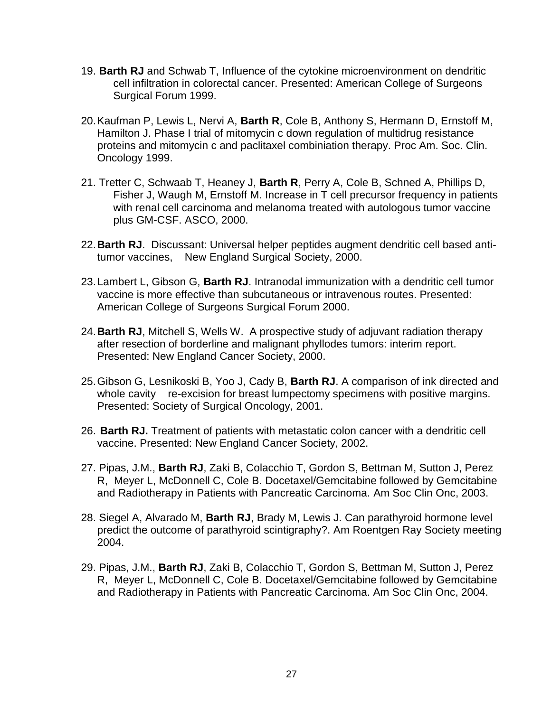- 19. **Barth RJ** and Schwab T, Influence of the cytokine microenvironment on dendritic cell infiltration in colorectal cancer. Presented: American College of Surgeons Surgical Forum 1999.
- 20.Kaufman P, Lewis L, Nervi A, **Barth R**, Cole B, Anthony S, Hermann D, Ernstoff M, Hamilton J. Phase I trial of mitomycin c down regulation of multidrug resistance proteins and mitomycin c and paclitaxel combiniation therapy. Proc Am. Soc. Clin. Oncology 1999.
- 21. Tretter C, Schwaab T, Heaney J, **Barth R**, Perry A, Cole B, Schned A, Phillips D, Fisher J, Waugh M, Ernstoff M. Increase in T cell precursor frequency in patients with renal cell carcinoma and melanoma treated with autologous tumor vaccine plus GM-CSF. ASCO, 2000.
- 22.**Barth RJ**. Discussant: Universal helper peptides augment dendritic cell based antitumor vaccines, New England Surgical Society, 2000.
- 23.Lambert L, Gibson G, **Barth RJ**. Intranodal immunization with a dendritic cell tumor vaccine is more effective than subcutaneous or intravenous routes. Presented: American College of Surgeons Surgical Forum 2000.
- 24.**Barth RJ**, Mitchell S, Wells W. A prospective study of adjuvant radiation therapy after resection of borderline and malignant phyllodes tumors: interim report. Presented: New England Cancer Society, 2000.
- 25.Gibson G, Lesnikoski B, Yoo J, Cady B, **Barth RJ**. A comparison of ink directed and whole cavity re-excision for breast lumpectomy specimens with positive margins. Presented: Society of Surgical Oncology, 2001.
- 26. **Barth RJ.** Treatment of patients with metastatic colon cancer with a dendritic cell vaccine. Presented: New England Cancer Society, 2002.
- 27. Pipas, J.M., **Barth RJ**, Zaki B, Colacchio T, Gordon S, Bettman M, Sutton J, Perez R, Meyer L, McDonnell C, Cole B. Docetaxel/Gemcitabine followed by Gemcitabine and Radiotherapy in Patients with Pancreatic Carcinoma. Am Soc Clin Onc, 2003.
- 28. Siegel A, Alvarado M, **Barth RJ**, Brady M, Lewis J. Can parathyroid hormone level predict the outcome of parathyroid scintigraphy?. Am Roentgen Ray Society meeting 2004.
- 29. Pipas, J.M., **Barth RJ**, Zaki B, Colacchio T, Gordon S, Bettman M, Sutton J, Perez R, Meyer L, McDonnell C, Cole B. Docetaxel/Gemcitabine followed by Gemcitabine and Radiotherapy in Patients with Pancreatic Carcinoma. Am Soc Clin Onc, 2004.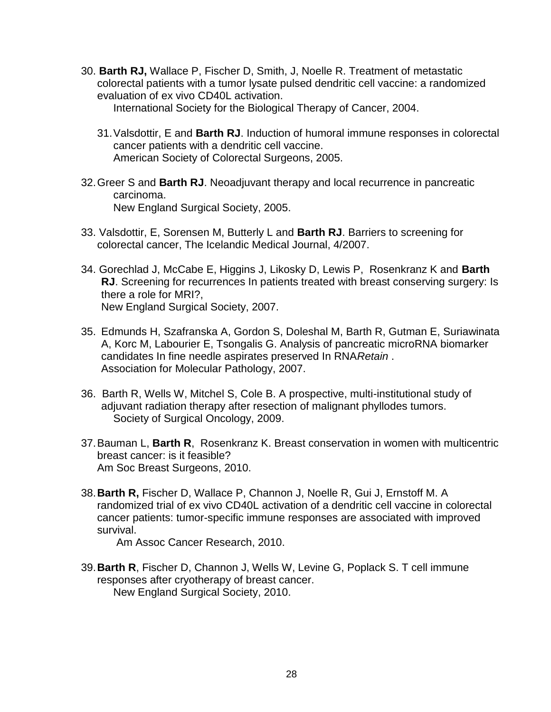30. **Barth RJ,** Wallace P, Fischer D, Smith, J, Noelle R. Treatment of metastatic colorectal patients with a tumor lysate pulsed dendritic cell vaccine: a randomized evaluation of ex vivo CD40L activation.

International Society for the Biological Therapy of Cancer, 2004.

- 31.Valsdottir, E and **Barth RJ**. Induction of humoral immune responses in colorectal cancer patients with a dendritic cell vaccine. American Society of Colorectal Surgeons, 2005.
- 32.Greer S and **Barth RJ**. Neoadjuvant therapy and local recurrence in pancreatic carcinoma. New England Surgical Society, 2005.
- 33. Valsdottir, E, Sorensen M, Butterly L and **Barth RJ**. Barriers to screening for colorectal cancer, The Icelandic Medical Journal, 4/2007.
- 34. Gorechlad J, McCabe E, Higgins J, Likosky D, Lewis P, Rosenkranz K and **Barth RJ**. Screening for recurrences In patients treated with breast conserving surgery: Is there a role for MRI?, New England Surgical Society, 2007.
- 35. Edmunds H, Szafranska A, Gordon S, Doleshal M, Barth R, Gutman E, Suriawinata A, Korc M, Labourier E, Tsongalis G. Analysis of pancreatic microRNA biomarker candidates In fine needle aspirates preserved In RNA*Retain* . Association for Molecular Pathology, 2007.
- 36. Barth R, Wells W, Mitchel S, Cole B. A prospective, multi-institutional study of adjuvant radiation therapy after resection of malignant phyllodes tumors. Society of Surgical Oncology, 2009.
- 37.Bauman L, **Barth R**, Rosenkranz K. Breast conservation in women with multicentric breast cancer: is it feasible? Am Soc Breast Surgeons, 2010.
- 38.**Barth R,** Fischer D, Wallace P, Channon J, Noelle R, Gui J, Ernstoff M. A randomized trial of ex vivo CD40L activation of a dendritic cell vaccine in colorectal cancer patients: tumor-specific immune responses are associated with improved survival.

Am Assoc Cancer Research, 2010.

39.**Barth R**, Fischer D, Channon J, Wells W, Levine G, Poplack S. T cell immune responses after cryotherapy of breast cancer. New England Surgical Society, 2010.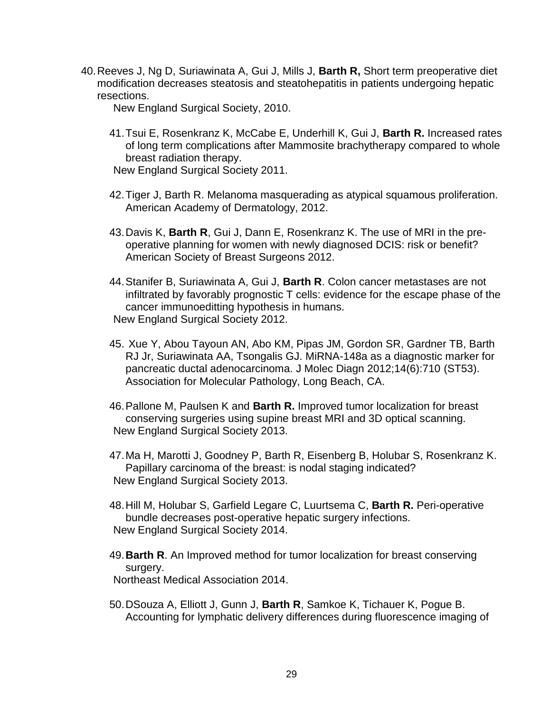40.Reeves J, Ng D, Suriawinata A, Gui J, Mills J, **Barth R,** Short term preoperative diet modification decreases steatosis and steatohepatitis in patients undergoing hepatic resections.

New England Surgical Society, 2010.

41.Tsui E, Rosenkranz K, McCabe E, Underhill K, Gui J, **Barth R.** Increased rates of long term complications after Mammosite brachytherapy compared to whole breast radiation therapy.

New England Surgical Society 2011.

- 42.Tiger J, Barth R. Melanoma masquerading as atypical squamous proliferation. American Academy of Dermatology, 2012.
- 43.Davis K, **Barth R**, Gui J, Dann E, Rosenkranz K. The use of MRI in the preoperative planning for women with newly diagnosed DCIS: risk or benefit? American Society of Breast Surgeons 2012.
- 44.Stanifer B, Suriawinata A, Gui J, **Barth R**. Colon cancer metastases are not infiltrated by favorably prognostic T cells: evidence for the escape phase of the cancer immunoeditting hypothesis in humans. New England Surgical Society 2012.
- 45. Xue Y, Abou Tayoun AN, Abo KM, Pipas JM, Gordon SR, Gardner TB, Barth RJ Jr, Suriawinata AA, Tsongalis GJ. MiRNA-148a as a diagnostic marker for pancreatic ductal adenocarcinoma. J Molec Diagn 2012;14(6):710 (ST53). Association for Molecular Pathology, Long Beach, CA.
- 46.Pallone M, Paulsen K and **Barth R.** Improved tumor localization for breast conserving surgeries using supine breast MRI and 3D optical scanning. New England Surgical Society 2013.
- 47.Ma H, Marotti J, Goodney P, Barth R, Eisenberg B, Holubar S, Rosenkranz K. Papillary carcinoma of the breast: is nodal staging indicated? New England Surgical Society 2013.
- 48.Hill M, Holubar S, Garfield Legare C, Luurtsema C, **Barth R.** Peri-operative bundle decreases post-operative hepatic surgery infections. New England Surgical Society 2014.
- 49.**Barth R**. An Improved method for tumor localization for breast conserving surgery.

Northeast Medical Association 2014.

50.DSouza A, Elliott J, Gunn J, **Barth R**, Samkoe K, Tichauer K, Pogue B. Accounting for lymphatic delivery differences during fluorescence imaging of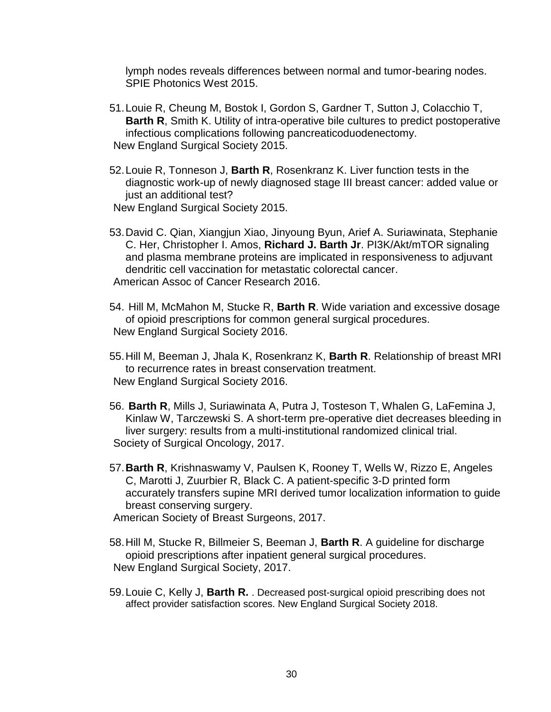lymph nodes reveals differences between normal and tumor-bearing nodes. SPIE Photonics West 2015.

- 51.Louie R, Cheung M, Bostok I, Gordon S, Gardner T, Sutton J, Colacchio T, **Barth R**, Smith K. Utility of intra-operative bile cultures to predict postoperative infectious complications following pancreaticoduodenectomy. New England Surgical Society 2015.
- 52.Louie R, Tonneson J, **Barth R**, Rosenkranz K. Liver function tests in the diagnostic work-up of newly diagnosed stage III breast cancer: added value or just an additional test?
- New England Surgical Society 2015.
- 53.David C. Qian, Xiangjun Xiao, Jinyoung Byun, Arief A. Suriawinata, Stephanie C. Her, Christopher I. Amos, **Richard J. Barth Jr**. PI3K/Akt/mTOR signaling and plasma membrane proteins are implicated in responsiveness to adjuvant dendritic cell vaccination for metastatic colorectal cancer. American Assoc of Cancer Research 2016.
- 54. Hill M, McMahon M, Stucke R, **Barth R**. Wide variation and excessive dosage of opioid prescriptions for common general surgical procedures. New England Surgical Society 2016.
- 55.Hill M, Beeman J, Jhala K, Rosenkranz K, **Barth R**. Relationship of breast MRI to recurrence rates in breast conservation treatment. New England Surgical Society 2016.
- 56. **Barth R**, Mills J, Suriawinata A, Putra J, Tosteson T, Whalen G, LaFemina J, Kinlaw W, Tarczewski S. A short-term pre-operative diet decreases bleeding in liver surgery: results from a multi-institutional randomized clinical trial. Society of Surgical Oncology, 2017.
- 57.**Barth R**, Krishnaswamy V, Paulsen K, Rooney T, Wells W, Rizzo E, Angeles C, Marotti J, Zuurbier R, Black C. A patient-specific 3-D printed form accurately transfers supine MRI derived tumor localization information to guide breast conserving surgery.
- American Society of Breast Surgeons, 2017.
- 58.Hill M, Stucke R, Billmeier S, Beeman J, **Barth R**. A guideline for discharge opioid prescriptions after inpatient general surgical procedures. New England Surgical Society, 2017.
- 59.Louie C, Kelly J, **Barth R.** . Decreased post-surgical opioid prescribing does not affect provider satisfaction scores. New England Surgical Society 2018.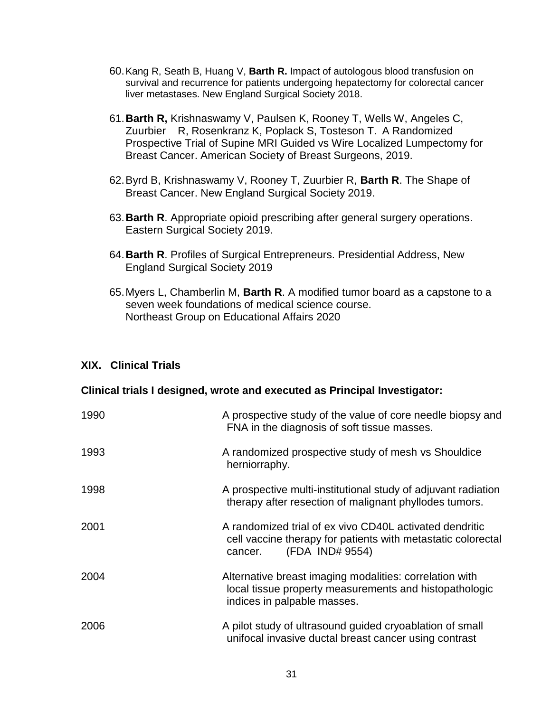- 60.Kang R, Seath B, Huang V, **Barth R.** Impact of autologous blood transfusion on survival and recurrence for patients undergoing hepatectomy for colorectal cancer liver metastases. New England Surgical Society 2018.
- 61.**Barth R,** Krishnaswamy V, Paulsen K, Rooney T, Wells W, Angeles C, Zuurbier R, Rosenkranz K, Poplack S, Tosteson T. A Randomized Prospective Trial of Supine MRI Guided vs Wire Localized Lumpectomy for Breast Cancer. American Society of Breast Surgeons, 2019.
- 62.Byrd B, Krishnaswamy V, Rooney T, Zuurbier R, **Barth R**. The Shape of Breast Cancer. New England Surgical Society 2019.
- 63.**Barth R**. Appropriate opioid prescribing after general surgery operations. Eastern Surgical Society 2019.
- 64.**Barth R**. Profiles of Surgical Entrepreneurs. Presidential Address, New England Surgical Society 2019
- 65.Myers L, Chamberlin M, **Barth R**. A modified tumor board as a capstone to a seven week foundations of medical science course. Northeast Group on Educational Affairs 2020

#### **XIX. Clinical Trials**

#### **Clinical trials I designed, wrote and executed as Principal Investigator:**

| 1990 | A prospective study of the value of core needle biopsy and<br>FNA in the diagnosis of soft tissue masses.                                             |
|------|-------------------------------------------------------------------------------------------------------------------------------------------------------|
| 1993 | A randomized prospective study of mesh vs Shouldice<br>herniorraphy.                                                                                  |
| 1998 | A prospective multi-institutional study of adjuvant radiation<br>therapy after resection of malignant phyllodes tumors.                               |
| 2001 | A randomized trial of ex vivo CD40L activated dendritic<br>cell vaccine therapy for patients with metastatic colorectal<br>(FDA IND# 9554)<br>cancer. |
| 2004 | Alternative breast imaging modalities: correlation with<br>local tissue property measurements and histopathologic<br>indices in palpable masses.      |
| 2006 | A pilot study of ultrasound guided cryoablation of small<br>unifocal invasive ductal breast cancer using contrast                                     |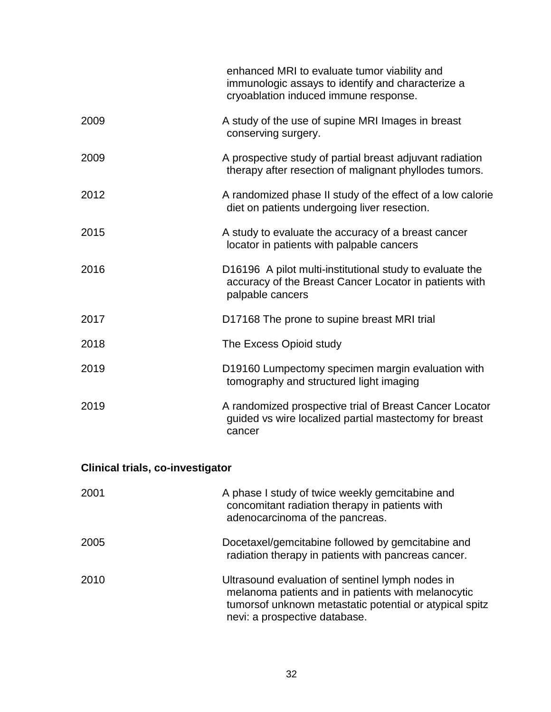|                                         | enhanced MRI to evaluate tumor viability and<br>immunologic assays to identify and characterize a<br>cryoablation induced immune response. |
|-----------------------------------------|--------------------------------------------------------------------------------------------------------------------------------------------|
| 2009                                    | A study of the use of supine MRI Images in breast<br>conserving surgery.                                                                   |
| 2009                                    | A prospective study of partial breast adjuvant radiation<br>therapy after resection of malignant phyllodes tumors.                         |
| 2012                                    | A randomized phase II study of the effect of a low calorie<br>diet on patients undergoing liver resection.                                 |
| 2015                                    | A study to evaluate the accuracy of a breast cancer<br>locator in patients with palpable cancers                                           |
| 2016                                    | D16196 A pilot multi-institutional study to evaluate the<br>accuracy of the Breast Cancer Locator in patients with<br>palpable cancers     |
| 2017                                    | D17168 The prone to supine breast MRI trial                                                                                                |
| 2018                                    | The Excess Opioid study                                                                                                                    |
| 2019                                    | D19160 Lumpectomy specimen margin evaluation with<br>tomography and structured light imaging                                               |
| 2019                                    | A randomized prospective trial of Breast Cancer Locator<br>quided vs wire localized partial mastectomy for breast<br>cancer                |
| <b>Clinical trials, co-investigator</b> |                                                                                                                                            |
| 2001                                    | A phase I study of twice weekly gemcitabine and                                                                                            |

| ∠∪∪ 1 | <b>TV phase I stagy of twice weekly germeitablite and</b><br>concomitant radiation therapy in patients with<br>adenocarcinoma of the pancreas.                                                     |
|-------|----------------------------------------------------------------------------------------------------------------------------------------------------------------------------------------------------|
| 2005  | Docetaxel/gemcitabine followed by gemcitabine and<br>radiation therapy in patients with pancreas cancer.                                                                                           |
| 2010  | Ultrasound evaluation of sentinel lymph nodes in<br>melanoma patients and in patients with melanocytic<br>tumorsof unknown metastatic potential or atypical spitz<br>nevi: a prospective database. |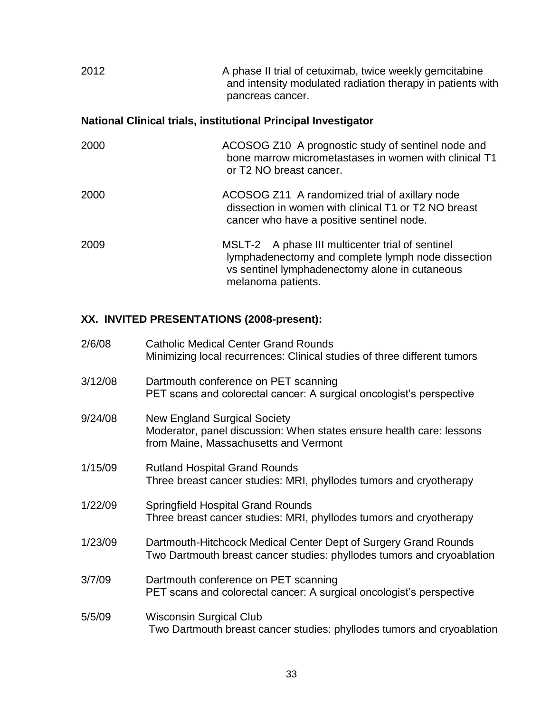| 2012 | A phase II trial of cetuximab, twice weekly gemcitabine    |
|------|------------------------------------------------------------|
|      | and intensity modulated radiation therapy in patients with |
|      | pancreas cancer.                                           |

# **National Clinical trials, institutional Principal Investigator**

| 2000 | ACOSOG Z10 A prognostic study of sentinel node and<br>bone marrow micrometastases in women with clinical T1<br>or T <sub>2</sub> NO breast cancer.                             |
|------|--------------------------------------------------------------------------------------------------------------------------------------------------------------------------------|
| 2000 | ACOSOG Z11 A randomized trial of axillary node<br>dissection in women with clinical T1 or T2 NO breast<br>cancer who have a positive sentinel node.                            |
| 2009 | MSLT-2 A phase III multicenter trial of sentinel<br>lymphadenectomy and complete lymph node dissection<br>vs sentinel lymphadenectomy alone in cutaneous<br>melanoma patients. |

# **XX. INVITED PRESENTATIONS (2008-present):**

| 2/6/08  | <b>Catholic Medical Center Grand Rounds</b><br>Minimizing local recurrences: Clinical studies of three different tumors                              |
|---------|------------------------------------------------------------------------------------------------------------------------------------------------------|
| 3/12/08 | Dartmouth conference on PET scanning<br>PET scans and colorectal cancer: A surgical oncologist's perspective                                         |
| 9/24/08 | <b>New England Surgical Society</b><br>Moderator, panel discussion: When states ensure health care: lessons<br>from Maine, Massachusetts and Vermont |
| 1/15/09 | <b>Rutland Hospital Grand Rounds</b><br>Three breast cancer studies: MRI, phyllodes tumors and cryotherapy                                           |
| 1/22/09 | <b>Springfield Hospital Grand Rounds</b><br>Three breast cancer studies: MRI, phyllodes tumors and cryotherapy                                       |
| 1/23/09 | Dartmouth-Hitchcock Medical Center Dept of Surgery Grand Rounds<br>Two Dartmouth breast cancer studies: phyllodes tumors and cryoablation            |
| 3/7/09  | Dartmouth conference on PET scanning<br>PET scans and colorectal cancer: A surgical oncologist's perspective                                         |
| 5/5/09  | <b>Wisconsin Surgical Club</b><br>Two Dartmouth breast cancer studies: phyllodes tumors and cryoablation                                             |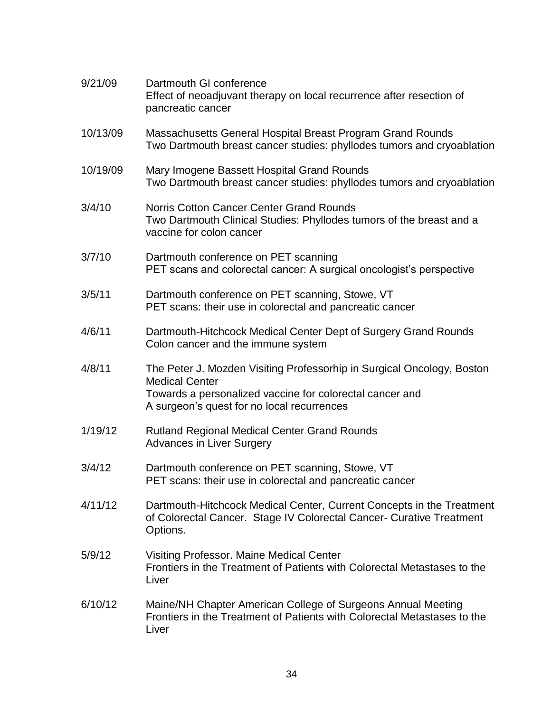| 9/21/09  | Dartmouth GI conference<br>Effect of neoadjuvant therapy on local recurrence after resection of<br>pancreatic cancer                                                                                      |
|----------|-----------------------------------------------------------------------------------------------------------------------------------------------------------------------------------------------------------|
| 10/13/09 | Massachusetts General Hospital Breast Program Grand Rounds<br>Two Dartmouth breast cancer studies: phyllodes tumors and cryoablation                                                                      |
| 10/19/09 | Mary Imogene Bassett Hospital Grand Rounds<br>Two Dartmouth breast cancer studies: phyllodes tumors and cryoablation                                                                                      |
| 3/4/10   | <b>Norris Cotton Cancer Center Grand Rounds</b><br>Two Dartmouth Clinical Studies: Phyllodes tumors of the breast and a<br>vaccine for colon cancer                                                       |
| 3/7/10   | Dartmouth conference on PET scanning<br>PET scans and colorectal cancer: A surgical oncologist's perspective                                                                                              |
| 3/5/11   | Dartmouth conference on PET scanning, Stowe, VT<br>PET scans: their use in colorectal and pancreatic cancer                                                                                               |
| 4/6/11   | Dartmouth-Hitchcock Medical Center Dept of Surgery Grand Rounds<br>Colon cancer and the immune system                                                                                                     |
| 4/8/11   | The Peter J. Mozden Visiting Professorhip in Surgical Oncology, Boston<br><b>Medical Center</b><br>Towards a personalized vaccine for colorectal cancer and<br>A surgeon's quest for no local recurrences |
| 1/19/12  | <b>Rutland Regional Medical Center Grand Rounds</b><br><b>Advances in Liver Surgery</b>                                                                                                                   |
| 3/4/12   | Dartmouth conference on PET scanning, Stowe, VT<br>PET scans: their use in colorectal and pancreatic cancer                                                                                               |
| 4/11/12  | Dartmouth-Hitchcock Medical Center, Current Concepts in the Treatment<br>of Colorectal Cancer. Stage IV Colorectal Cancer- Curative Treatment<br>Options.                                                 |
| 5/9/12   | Visiting Professor. Maine Medical Center<br>Frontiers in the Treatment of Patients with Colorectal Metastases to the<br>Liver                                                                             |
| 6/10/12  | Maine/NH Chapter American College of Surgeons Annual Meeting<br>Frontiers in the Treatment of Patients with Colorectal Metastases to the<br>Liver                                                         |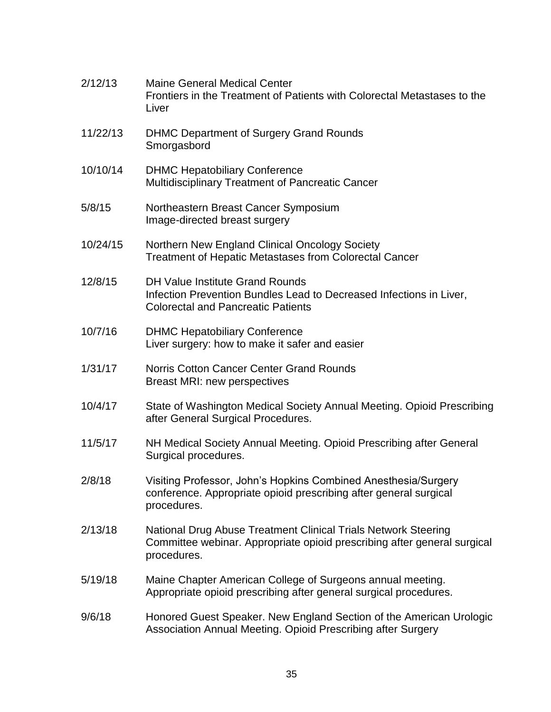| 2/12/13  | <b>Maine General Medical Center</b><br>Frontiers in the Treatment of Patients with Colorectal Metastases to the<br>Liver                                   |
|----------|------------------------------------------------------------------------------------------------------------------------------------------------------------|
| 11/22/13 | <b>DHMC Department of Surgery Grand Rounds</b><br>Smorgasbord                                                                                              |
| 10/10/14 | <b>DHMC Hepatobiliary Conference</b><br>Multidisciplinary Treatment of Pancreatic Cancer                                                                   |
| 5/8/15   | Northeastern Breast Cancer Symposium<br>Image-directed breast surgery                                                                                      |
| 10/24/15 | Northern New England Clinical Oncology Society<br><b>Treatment of Hepatic Metastases from Colorectal Cancer</b>                                            |
| 12/8/15  | <b>DH Value Institute Grand Rounds</b><br>Infection Prevention Bundles Lead to Decreased Infections in Liver,<br><b>Colorectal and Pancreatic Patients</b> |
| 10/7/16  | <b>DHMC Hepatobiliary Conference</b><br>Liver surgery: how to make it safer and easier                                                                     |
| 1/31/17  | <b>Norris Cotton Cancer Center Grand Rounds</b><br>Breast MRI: new perspectives                                                                            |
| 10/4/17  | State of Washington Medical Society Annual Meeting. Opioid Prescribing<br>after General Surgical Procedures.                                               |
| 11/5/17  | NH Medical Society Annual Meeting. Opioid Prescribing after General<br>Surgical procedures.                                                                |
| 2/8/18   | Visiting Professor, John's Hopkins Combined Anesthesia/Surgery<br>conference. Appropriate opioid prescribing after general surgical<br>procedures.         |
| 2/13/18  | National Drug Abuse Treatment Clinical Trials Network Steering<br>Committee webinar. Appropriate opioid prescribing after general surgical<br>procedures.  |
| 5/19/18  | Maine Chapter American College of Surgeons annual meeting.<br>Appropriate opioid prescribing after general surgical procedures.                            |
| 9/6/18   | Honored Guest Speaker. New England Section of the American Urologic<br>Association Annual Meeting. Opioid Prescribing after Surgery                        |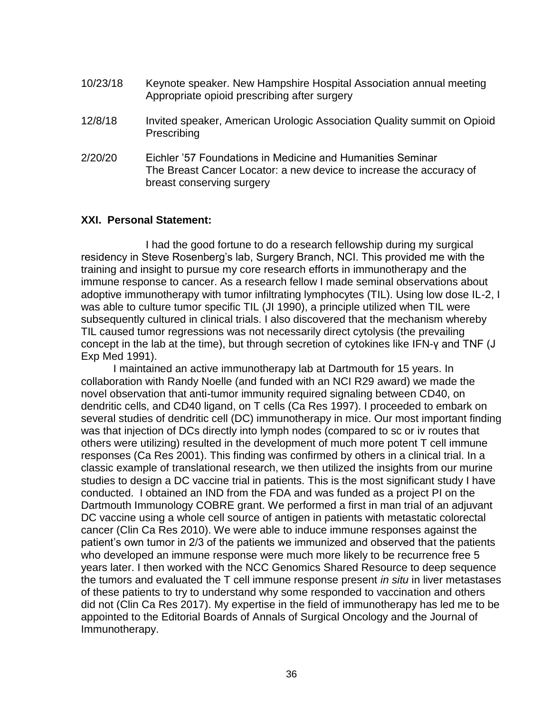| 10/23/18 | Keynote speaker. New Hampshire Hospital Association annual meeting<br>Appropriate opioid prescribing after surgery                                             |
|----------|----------------------------------------------------------------------------------------------------------------------------------------------------------------|
| 12/8/18  | Invited speaker, American Urologic Association Quality summit on Opioid<br>Prescribing                                                                         |
| 2/20/20  | Eichler '57 Foundations in Medicine and Humanities Seminar<br>The Breast Cancer Locator: a new device to increase the accuracy of<br>breast conserving surgery |

#### **XXI. Personal Statement:**

I had the good fortune to do a research fellowship during my surgical residency in Steve Rosenberg's lab, Surgery Branch, NCI. This provided me with the training and insight to pursue my core research efforts in immunotherapy and the immune response to cancer. As a research fellow I made seminal observations about adoptive immunotherapy with tumor infiltrating lymphocytes (TIL). Using low dose IL-2, I was able to culture tumor specific TIL (JI 1990), a principle utilized when TIL were subsequently cultured in clinical trials. I also discovered that the mechanism whereby TIL caused tumor regressions was not necessarily direct cytolysis (the prevailing concept in the lab at the time), but through secretion of cytokines like IFN-γ and TNF (J Exp Med 1991).

I maintained an active immunotherapy lab at Dartmouth for 15 years. In collaboration with Randy Noelle (and funded with an NCI R29 award) we made the novel observation that anti-tumor immunity required signaling between CD40, on dendritic cells, and CD40 ligand, on T cells (Ca Res 1997). I proceeded to embark on several studies of dendritic cell (DC) immunotherapy in mice. Our most important finding was that injection of DCs directly into lymph nodes (compared to sc or iv routes that others were utilizing) resulted in the development of much more potent T cell immune responses (Ca Res 2001). This finding was confirmed by others in a clinical trial. In a classic example of translational research, we then utilized the insights from our murine studies to design a DC vaccine trial in patients. This is the most significant study I have conducted. I obtained an IND from the FDA and was funded as a project PI on the Dartmouth Immunology COBRE grant. We performed a first in man trial of an adjuvant DC vaccine using a whole cell source of antigen in patients with metastatic colorectal cancer (Clin Ca Res 2010). We were able to induce immune responses against the patient's own tumor in 2/3 of the patients we immunized and observed that the patients who developed an immune response were much more likely to be recurrence free 5 years later. I then worked with the NCC Genomics Shared Resource to deep sequence the tumors and evaluated the T cell immune response present *in situ* in liver metastases of these patients to try to understand why some responded to vaccination and others did not (Clin Ca Res 2017). My expertise in the field of immunotherapy has led me to be appointed to the Editorial Boards of Annals of Surgical Oncology and the Journal of Immunotherapy.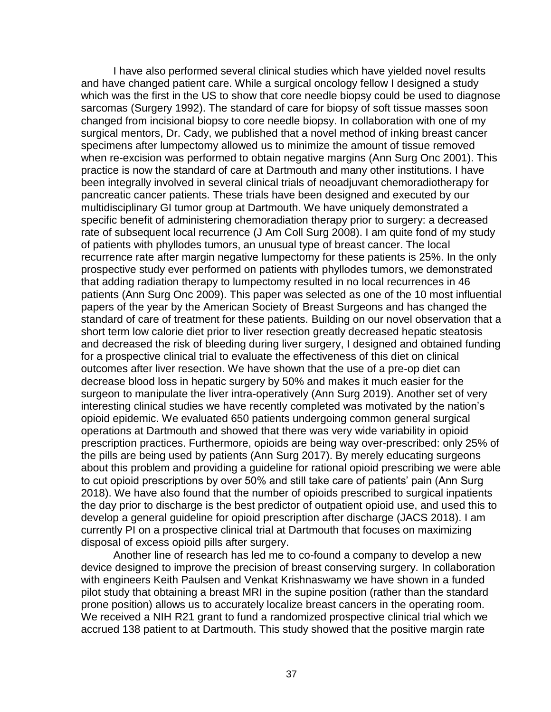I have also performed several clinical studies which have yielded novel results and have changed patient care. While a surgical oncology fellow I designed a study which was the first in the US to show that core needle biopsy could be used to diagnose sarcomas (Surgery 1992). The standard of care for biopsy of soft tissue masses soon changed from incisional biopsy to core needle biopsy. In collaboration with one of my surgical mentors, Dr. Cady, we published that a novel method of inking breast cancer specimens after lumpectomy allowed us to minimize the amount of tissue removed when re-excision was performed to obtain negative margins (Ann Surg Onc 2001). This practice is now the standard of care at Dartmouth and many other institutions. I have been integrally involved in several clinical trials of neoadjuvant chemoradiotherapy for pancreatic cancer patients. These trials have been designed and executed by our multidisciplinary GI tumor group at Dartmouth. We have uniquely demonstrated a specific benefit of administering chemoradiation therapy prior to surgery: a decreased rate of subsequent local recurrence (J Am Coll Surg 2008). I am quite fond of my study of patients with phyllodes tumors, an unusual type of breast cancer. The local recurrence rate after margin negative lumpectomy for these patients is 25%. In the only prospective study ever performed on patients with phyllodes tumors, we demonstrated that adding radiation therapy to lumpectomy resulted in no local recurrences in 46 patients (Ann Surg Onc 2009). This paper was selected as one of the 10 most influential papers of the year by the American Society of Breast Surgeons and has changed the standard of care of treatment for these patients. Building on our novel observation that a short term low calorie diet prior to liver resection greatly decreased hepatic steatosis and decreased the risk of bleeding during liver surgery, I designed and obtained funding for a prospective clinical trial to evaluate the effectiveness of this diet on clinical outcomes after liver resection. We have shown that the use of a pre-op diet can decrease blood loss in hepatic surgery by 50% and makes it much easier for the surgeon to manipulate the liver intra-operatively (Ann Surg 2019). Another set of very interesting clinical studies we have recently completed was motivated by the nation's opioid epidemic. We evaluated 650 patients undergoing common general surgical operations at Dartmouth and showed that there was very wide variability in opioid prescription practices. Furthermore, opioids are being way over-prescribed: only 25% of the pills are being used by patients (Ann Surg 2017). By merely educating surgeons about this problem and providing a guideline for rational opioid prescribing we were able to cut opioid prescriptions by over 50% and still take care of patients' pain (Ann Surg 2018). We have also found that the number of opioids prescribed to surgical inpatients the day prior to discharge is the best predictor of outpatient opioid use, and used this to develop a general guideline for opioid prescription after discharge (JACS 2018). I am currently PI on a prospective clinical trial at Dartmouth that focuses on maximizing disposal of excess opioid pills after surgery.

Another line of research has led me to co-found a company to develop a new device designed to improve the precision of breast conserving surgery. In collaboration with engineers Keith Paulsen and Venkat Krishnaswamy we have shown in a funded pilot study that obtaining a breast MRI in the supine position (rather than the standard prone position) allows us to accurately localize breast cancers in the operating room. We received a NIH R21 grant to fund a randomized prospective clinical trial which we accrued 138 patient to at Dartmouth. This study showed that the positive margin rate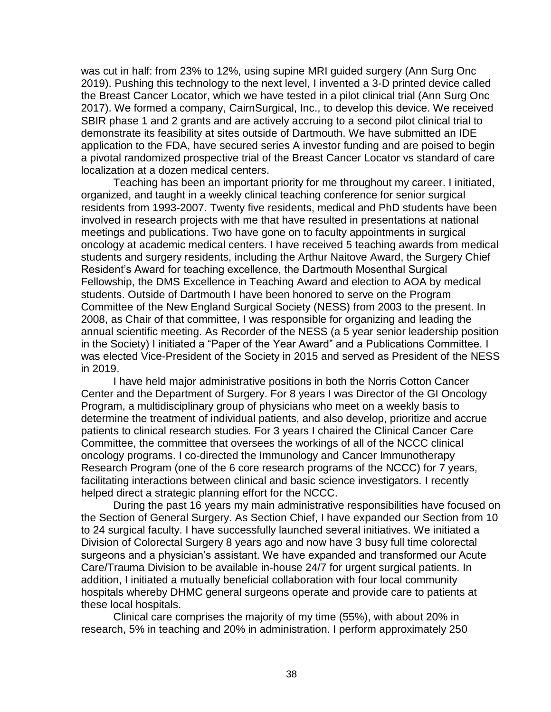was cut in half: from 23% to 12%, using supine MRI guided surgery (Ann Surg Onc 2019). Pushing this technology to the next level, I invented a 3-D printed device called the Breast Cancer Locator, which we have tested in a pilot clinical trial (Ann Surg Onc 2017). We formed a company, CairnSurgical, Inc., to develop this device. We received SBIR phase 1 and 2 grants and are actively accruing to a second pilot clinical trial to demonstrate its feasibility at sites outside of Dartmouth. We have submitted an IDE application to the FDA, have secured series A investor funding and are poised to begin a pivotal randomized prospective trial of the Breast Cancer Locator vs standard of care localization at a dozen medical centers.

Teaching has been an important priority for me throughout my career. I initiated, organized, and taught in a weekly clinical teaching conference for senior surgical residents from 1993-2007. Twenty five residents, medical and PhD students have been involved in research projects with me that have resulted in presentations at national meetings and publications. Two have gone on to faculty appointments in surgical oncology at academic medical centers. I have received 5 teaching awards from medical students and surgery residents, including the Arthur Naitove Award, the Surgery Chief Resident's Award for teaching excellence, the Dartmouth Mosenthal Surgical Fellowship, the DMS Excellence in Teaching Award and election to AOA by medical students. Outside of Dartmouth I have been honored to serve on the Program Committee of the New England Surgical Society (NESS) from 2003 to the present. In 2008, as Chair of that committee, I was responsible for organizing and leading the annual scientific meeting. As Recorder of the NESS (a 5 year senior leadership position in the Society) I initiated a "Paper of the Year Award" and a Publications Committee. I was elected Vice-President of the Society in 2015 and served as President of the NESS in 2019.

I have held major administrative positions in both the Norris Cotton Cancer Center and the Department of Surgery. For 8 years I was Director of the GI Oncology Program, a multidisciplinary group of physicians who meet on a weekly basis to determine the treatment of individual patients, and also develop, prioritize and accrue patients to clinical research studies. For 3 years I chaired the Clinical Cancer Care Committee, the committee that oversees the workings of all of the NCCC clinical oncology programs. I co-directed the Immunology and Cancer Immunotherapy Research Program (one of the 6 core research programs of the NCCC) for 7 years, facilitating interactions between clinical and basic science investigators. I recently helped direct a strategic planning effort for the NCCC.

During the past 16 years my main administrative responsibilities have focused on the Section of General Surgery. As Section Chief, I have expanded our Section from 10 to 24 surgical faculty. I have successfully launched several initiatives. We initiated a Division of Colorectal Surgery 8 years ago and now have 3 busy full time colorectal surgeons and a physician's assistant. We have expanded and transformed our Acute Care/Trauma Division to be available in-house 24/7 for urgent surgical patients. In addition, I initiated a mutually beneficial collaboration with four local community hospitals whereby DHMC general surgeons operate and provide care to patients at these local hospitals.

Clinical care comprises the majority of my time (55%), with about 20% in research, 5% in teaching and 20% in administration. I perform approximately 250